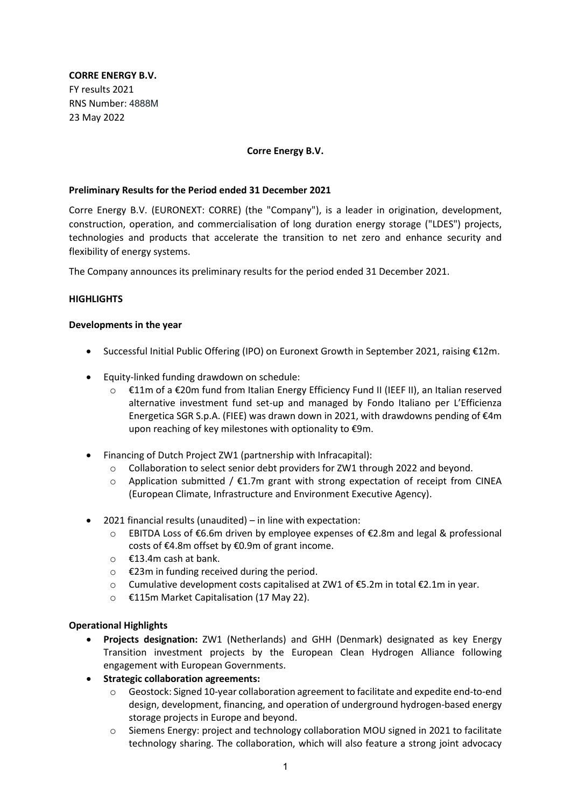**CORRE ENERGY B.V.** FY results 2021 RNS Number: 4888M 23 May 2022

#### **Corre Energy B.V.**

#### **Preliminary Results for the Period ended 31 December 2021**

Corre Energy B.V. (EURONEXT: CORRE) (the "Company"), is a leader in origination, development, construction, operation, and commercialisation of long duration energy storage ("LDES") projects, technologies and products that accelerate the transition to net zero and enhance security and flexibility of energy systems.

The Company announces its preliminary results for the period ended 31 December 2021.

#### **HIGHLIGHTS**

#### **Developments in the year**

- Successful Initial Public Offering (IPO) on Euronext Growth in September 2021, raising €12m.
- Equity-linked funding drawdown on schedule:
	- o €11m of a €20m fund from Italian Energy Efficiency Fund II (IEEF II), an Italian reserved alternative investment fund set-up and managed by Fondo Italiano per L'Efficienza Energetica SGR S.p.A. (FIEE) was drawn down in 2021, with drawdowns pending of  $\epsilon$ 4m upon reaching of key milestones with optionality to €9m.
- Financing of Dutch Project ZW1 (partnership with Infracapital):
	- $\circ$  Collaboration to select senior debt providers for ZW1 through 2022 and beyond.
	- $\circ$  Application submitted / €1.7m grant with strong expectation of receipt from CINEA (European Climate, Infrastructure and Environment Executive Agency).
- 2021 financial results (unaudited) in line with expectation:
	- o EBITDA Loss of €6.6m driven by employee expenses of €2.8m and legal & professional costs of €4.8m offset by €0.9m of grant income.
	- o €13.4m cash at bank.
	- o €23m in funding received during the period.
	- o Cumulative development costs capitalised at ZW1 of €5.2m in total €2.1m in year.
	- o €115m Market Capitalisation (17 May 22).

#### **Operational Highlights**

- **Projects designation:** ZW1 (Netherlands) and GHH (Denmark) designated as key Energy Transition investment projects by the European Clean Hydrogen Alliance following engagement with European Governments.
- **Strategic collaboration agreements:**
	- o Geostock: Signed 10-year collaboration agreement to facilitate and expedite end-to-end design, development, financing, and operation of underground hydrogen-based energy storage projects in Europe and beyond.
	- o Siemens Energy: project and technology collaboration MOU signed in 2021 to facilitate technology sharing. The collaboration, which will also feature a strong joint advocacy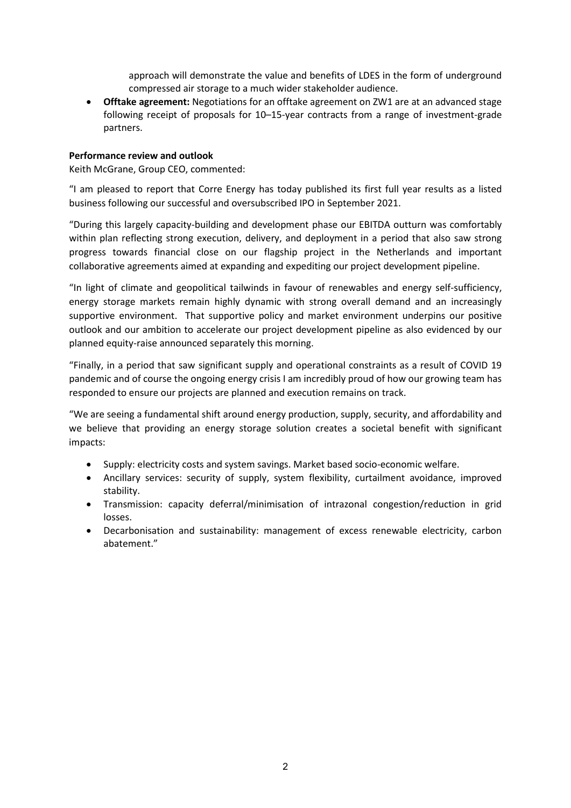approach will demonstrate the value and benefits of LDES in the form of underground compressed air storage to a much wider stakeholder audience.

• **Offtake agreement:** Negotiations for an offtake agreement on ZW1 are at an advanced stage following receipt of proposals for 10–15-year contracts from a range of investment-grade partners.

#### **Performance review and outlook**

Keith McGrane, Group CEO, commented:

"I am pleased to report that Corre Energy has today published its first full year results as a listed business following our successful and oversubscribed IPO in September 2021.

"During this largely capacity-building and development phase our EBITDA outturn was comfortably within plan reflecting strong execution, delivery, and deployment in a period that also saw strong progress towards financial close on our flagship project in the Netherlands and important collaborative agreements aimed at expanding and expediting our project development pipeline.

"In light of climate and geopolitical tailwinds in favour of renewables and energy self-sufficiency, energy storage markets remain highly dynamic with strong overall demand and an increasingly supportive environment. That supportive policy and market environment underpins our positive outlook and our ambition to accelerate our project development pipeline as also evidenced by our planned equity-raise announced separately this morning.

"Finally, in a period that saw significant supply and operational constraints as a result of COVID 19 pandemic and of course the ongoing energy crisis I am incredibly proud of how our growing team has responded to ensure our projects are planned and execution remains on track.

"We are seeing a fundamental shift around energy production, supply, security, and affordability and we believe that providing an energy storage solution creates a societal benefit with significant impacts:

- Supply: electricity costs and system savings. Market based socio-economic welfare.
- Ancillary services: security of supply, system flexibility, curtailment avoidance, improved stability.
- Transmission: capacity deferral/minimisation of intrazonal congestion/reduction in grid losses.
- Decarbonisation and sustainability: management of excess renewable electricity, carbon abatement."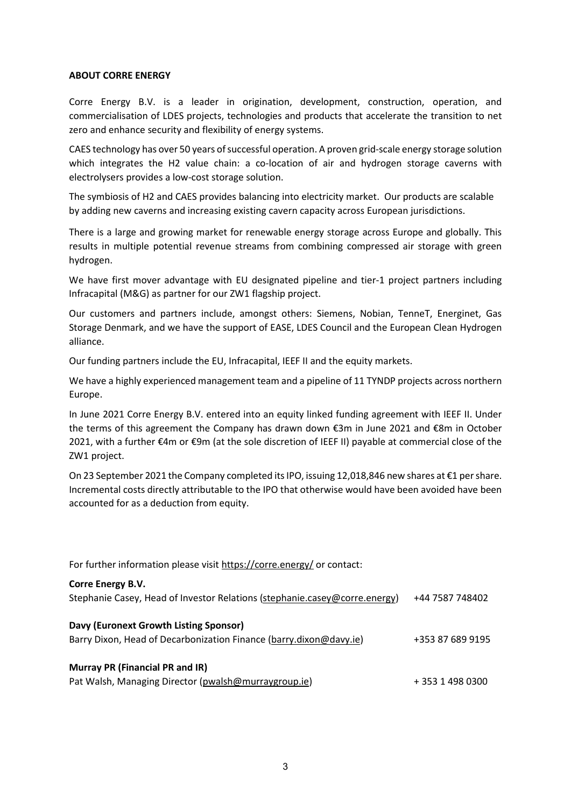#### **ABOUT CORRE ENERGY**

Corre Energy B.V. is a leader in origination, development, construction, operation, and commercialisation of LDES projects, technologies and products that accelerate the transition to net zero and enhance security and flexibility of energy systems.

CAES technology has over 50 years of successful operation. A proven grid-scale energy storage solution which integrates the H2 value chain: a co-location of air and hydrogen storage caverns with electrolysers provides a low-cost storage solution.

The symbiosis of H2 and CAES provides balancing into electricity market. Our products are scalable by adding new caverns and increasing existing cavern capacity across European jurisdictions.

There is a large and growing market for renewable energy storage across Europe and globally. This results in multiple potential revenue streams from combining compressed air storage with green hydrogen.

We have first mover advantage with EU designated pipeline and tier-1 project partners including Infracapital (M&G) as partner for our ZW1 flagship project.

Our customers and partners include, amongst others: Siemens, Nobian, TenneT, Energinet, Gas Storage Denmark, and we have the support of EASE, LDES Council and the European Clean Hydrogen alliance.

Our funding partners include the EU, Infracapital, IEEF II and the equity markets.

We have a highly experienced management team and a pipeline of 11 TYNDP projects across northern Europe.

In June 2021 Corre Energy B.V. entered into an equity linked funding agreement with IEEF II. Under the terms of this agreement the Company has drawn down €3m in June 2021 and €8m in October 2021, with a further €4m or €9m (at the sole discretion of IEEF II) payable at commercial close of the ZW1 project. 

On 23 September 2021 the Company completed its IPO, issuing 12,018,846 new shares at €1 per share. Incremental costs directly attributable to the IPO that otherwise would have been avoided have been accounted for as a deduction from equity.

| For further information please visit https://corre.energy/ or contact:                                       |                  |  |  |
|--------------------------------------------------------------------------------------------------------------|------------------|--|--|
| <b>Corre Energy B.V.</b><br>Stephanie Casey, Head of Investor Relations (stephanie.casey@corre.energy)       | +44 7587 748402  |  |  |
| Davy (Euronext Growth Listing Sponsor)<br>Barry Dixon, Head of Decarbonization Finance (barry.dixon@davy.ie) | +353 87 689 9195 |  |  |
| Murray PR (Financial PR and IR)<br>Pat Walsh, Managing Director (pwalsh@murraygroup.ie)                      | +35314980300     |  |  |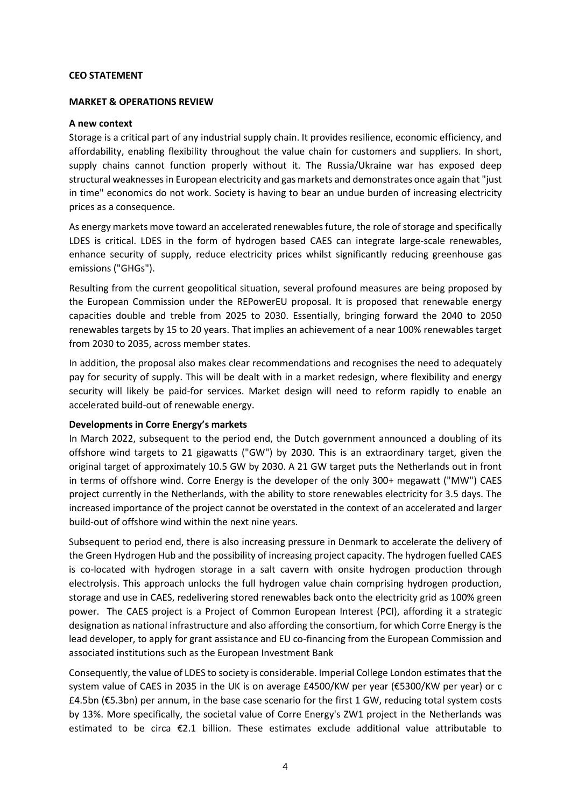#### **CEO STATEMENT**

#### **MARKET & OPERATIONS REVIEW**

#### **A new context**

Storage is a critical part of any industrial supply chain. It provides resilience, economic efficiency, and affordability, enabling flexibility throughout the value chain for customers and suppliers. In short, supply chains cannot function properly without it. The Russia/Ukraine war has exposed deep structural weaknesses in European electricity and gas markets and demonstrates once again that "just in time" economics do not work. Society is having to bear an undue burden of increasing electricity prices as a consequence.

As energy markets move toward an accelerated renewables future, the role of storage and specifically LDES is critical. LDES in the form of hydrogen based CAES can integrate large-scale renewables, enhance security of supply, reduce electricity prices whilst significantly reducing greenhouse gas emissions ("GHGs").

Resulting from the current geopolitical situation, several profound measures are being proposed by the European Commission under the REPowerEU proposal. It is proposed that renewable energy capacities double and treble from 2025 to 2030. Essentially, bringing forward the 2040 to 2050 renewables targets by 15 to 20 years. That implies an achievement of a near 100% renewables target from 2030 to 2035, across member states.

In addition, the proposal also makes clear recommendations and recognises the need to adequately pay for security of supply. This will be dealt with in a market redesign, where flexibility and energy security will likely be paid-for services. Market design will need to reform rapidly to enable an accelerated build-out of renewable energy.

#### **Developments in Corre Energy's markets**

In March 2022, subsequent to the period end, the Dutch government announced a doubling of its offshore wind targets to 21 gigawatts ("GW") by 2030. This is an extraordinary target, given the original target of approximately 10.5 GW by 2030. A 21 GW target puts the Netherlands out in front in terms of offshore wind. Corre Energy is the developer of the only 300+ megawatt ("MW") CAES project currently in the Netherlands, with the ability to store renewables electricity for 3.5 days. The increased importance of the project cannot be overstated in the context of an accelerated and larger build-out of offshore wind within the next nine years.

Subsequent to period end, there is also increasing pressure in Denmark to accelerate the delivery of the Green Hydrogen Hub and the possibility of increasing project capacity. The hydrogen fuelled CAES is co-located with hydrogen storage in a salt cavern with onsite hydrogen production through electrolysis. This approach unlocks the full hydrogen value chain comprising hydrogen production, storage and use in CAES, redelivering stored renewables back onto the electricity grid as 100% green power. The CAES project is a Project of Common European Interest (PCI), affording it a strategic designation as national infrastructure and also affording the consortium, for which Corre Energy is the lead developer, to apply for grant assistance and EU co-financing from the European Commission and associated institutions such as the European Investment Bank

Consequently, the value of LDES to society is considerable. Imperial College London estimates that the system value of CAES in 2035 in the UK is on average £4500/KW per year (€5300/KW per year) or c £4.5bn (€5.3bn) per annum, in the base case scenario for the first 1 GW, reducing total system costs by 13%. More specifically, the societal value of Corre Energy's ZW1 project in the Netherlands was estimated to be circa €2.1 billion. These estimates exclude additional value attributable to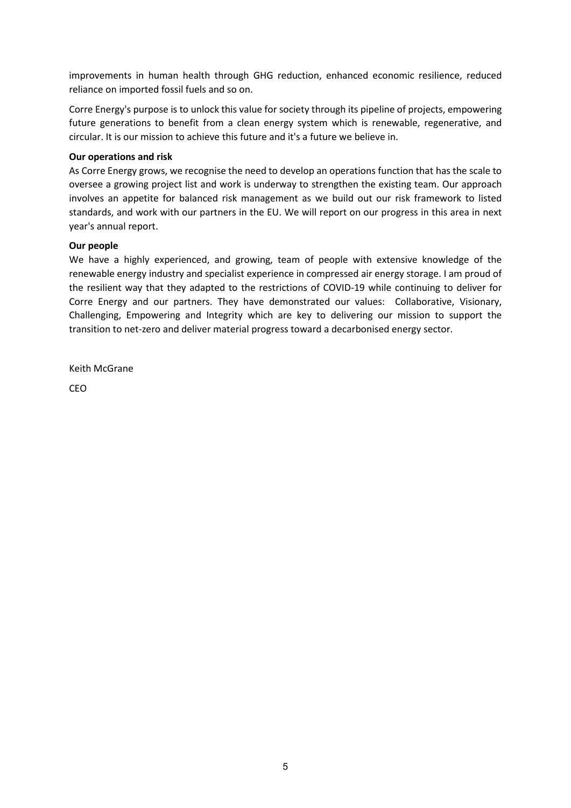improvements in human health through GHG reduction, enhanced economic resilience, reduced reliance on imported fossil fuels and so on.

Corre Energy's purpose is to unlock this value for society through its pipeline of projects, empowering future generations to benefit from a clean energy system which is renewable, regenerative, and circular. It is our mission to achieve this future and it's a future we believe in.

### **Our operations and risk**

As Corre Energy grows, we recognise the need to develop an operations function that has the scale to oversee a growing project list and work is underway to strengthen the existing team. Our approach involves an appetite for balanced risk management as we build out our risk framework to listed standards, and work with our partners in the EU. We will report on our progress in this area in next year's annual report.

### **Our people**

We have a highly experienced, and growing, team of people with extensive knowledge of the renewable energy industry and specialist experience in compressed air energy storage. I am proud of the resilient way that they adapted to the restrictions of COVID-19 while continuing to deliver for Corre Energy and our partners. They have demonstrated our values: Collaborative, Visionary, Challenging, Empowering and Integrity which are key to delivering our mission to support the transition to net-zero and deliver material progress toward a decarbonised energy sector.

Keith McGrane

CEO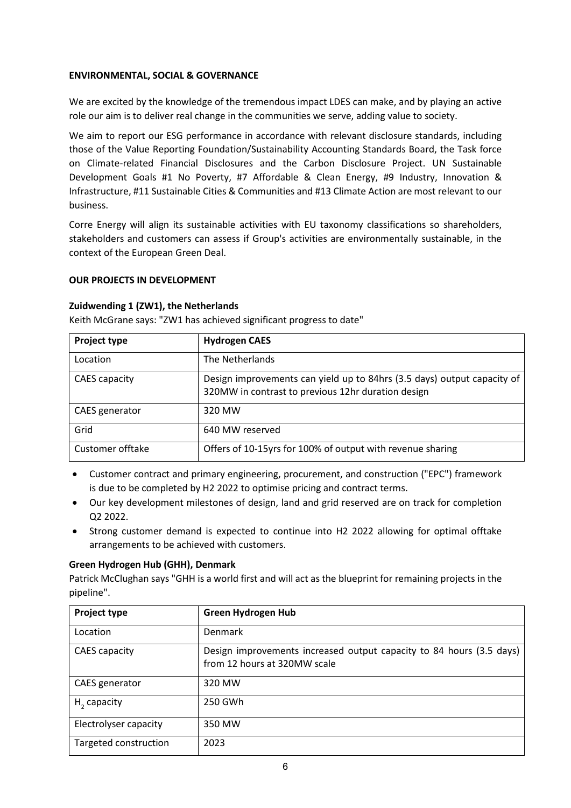### **ENVIRONMENTAL, SOCIAL & GOVERNANCE**

We are excited by the knowledge of the tremendous impact LDES can make, and by playing an active role our aim is to deliver real change in the communities we serve, adding value to society.

We aim to report our ESG performance in accordance with relevant disclosure standards, including those of the Value Reporting Foundation/Sustainability Accounting Standards Board, the Task force on Climate-related Financial Disclosures and the Carbon Disclosure Project. UN Sustainable Development Goals #1 No Poverty, #7 Affordable & Clean Energy, #9 Industry, Innovation & Infrastructure, #11 Sustainable Cities & Communities and #13 Climate Action are most relevant to our business.

Corre Energy will align its sustainable activities with EU taxonomy classifications so shareholders, stakeholders and customers can assess if Group's activities are environmentally sustainable, in the context of the European Green Deal.

#### **OUR PROJECTS IN DEVELOPMENT**

#### **Zuidwending 1 (ZW1), the Netherlands**

Keith McGrane says: "ZW1 has achieved significant progress to date"

| <b>Project type</b> | <b>Hydrogen CAES</b>                                                                                                          |
|---------------------|-------------------------------------------------------------------------------------------------------------------------------|
| Location            | The Netherlands                                                                                                               |
| CAES capacity       | Design improvements can yield up to 84hrs (3.5 days) output capacity of<br>320MW in contrast to previous 12hr duration design |
| CAES generator      | 320 MW                                                                                                                        |
| Grid                | 640 MW reserved                                                                                                               |
| Customer offtake    | Offers of 10-15yrs for 100% of output with revenue sharing                                                                    |

- Customer contract and primary engineering, procurement, and construction ("EPC") framework is due to be completed by H2 2022 to optimise pricing and contract terms.
- Our key development milestones of design, land and grid reserved are on track for completion Q2 2022.
- Strong customer demand is expected to continue into H2 2022 allowing for optimal offtake arrangements to be achieved with customers.

#### **Green Hydrogen Hub (GHH), Denmark**

Patrick McClughan says "GHH is a world first and will act as the blueprint for remaining projects in the pipeline".

| Project type            | <b>Green Hydrogen Hub</b>                                                                            |
|-------------------------|------------------------------------------------------------------------------------------------------|
| Location                | <b>Denmark</b>                                                                                       |
| CAES capacity           | Design improvements increased output capacity to 84 hours (3.5 days)<br>from 12 hours at 320MW scale |
| CAES generator          | 320 MW                                                                                               |
| H <sub>2</sub> capacity | 250 GWh                                                                                              |
| Electrolyser capacity   | 350 MW                                                                                               |
| Targeted construction   | 2023                                                                                                 |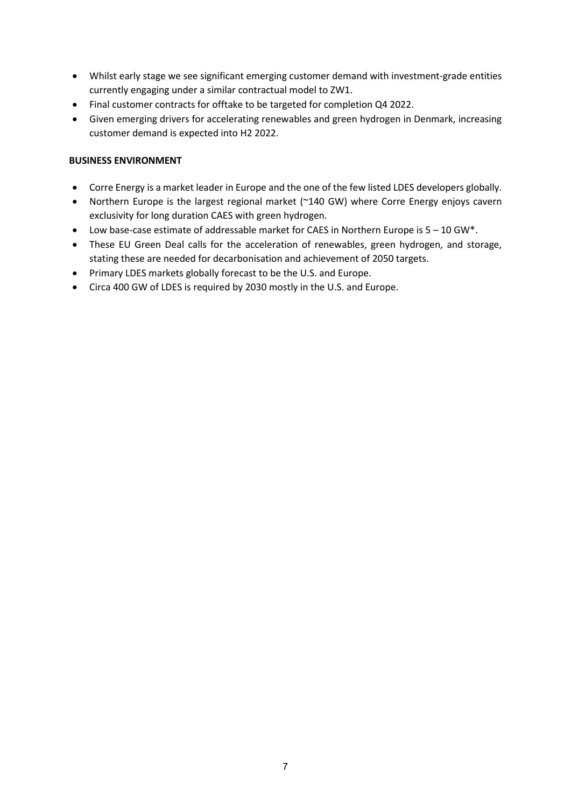- Whilst early stage we see significant emerging customer demand with investment-grade entities currently engaging under a similar contractual model to ZW1.
- Final customer contracts for offtake to be targeted for completion Q4 2022.
- Given emerging drivers for accelerating renewables and green hydrogen in Denmark, increasing customer demand is expected into H2 2022.

### **BUSINESS ENVIRONMENT**

- Corre Energy is a market leader in Europe and the one of the few listed LDES developers globally.
- Northern Europe is the largest regional market (~140 GW) where Corre Energy enjoys cavern exclusivity for long duration CAES with green hydrogen.
- Low base-case estimate of addressable market for CAES in Northern Europe is 5 10 GW\*.
- These EU Green Deal calls for the acceleration of renewables, green hydrogen, and storage, stating these are needed for decarbonisation and achievement of 2050 targets.
- Primary LDES markets globally forecast to be the U.S. and Europe.
- Circa 400 GW of LDES is required by 2030 mostly in the U.S. and Europe.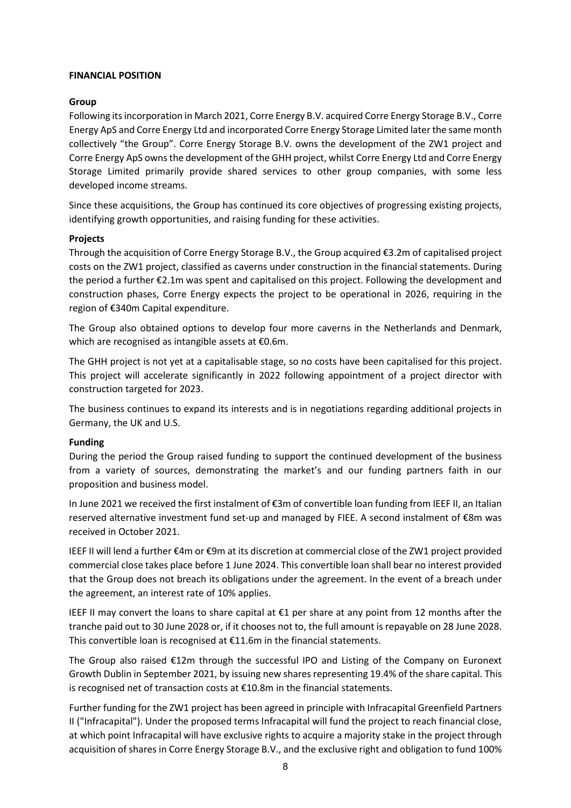#### **FINANCIAL POSITION**

#### **Group**

Following its incorporation in March 2021, Corre Energy B.V. acquired Corre Energy Storage B.V., Corre Energy ApS and Corre Energy Ltd and incorporated Corre Energy Storage Limited later the same month collectively "the Group". Corre Energy Storage B.V. owns the development of the ZW1 project and Corre Energy ApS owns the development of the GHH project, whilst Corre Energy Ltd and Corre Energy Storage Limited primarily provide shared services to other group companies, with some less developed income streams.

Since these acquisitions, the Group has continued its core objectives of progressing existing projects, identifying growth opportunities, and raising funding for these activities.

#### **Projects**

Through the acquisition of Corre Energy Storage B.V., the Group acquired €3.2m of capitalised project costs on the ZW1 project, classified as caverns under construction in the financial statements. During the period a further €2.1m was spent and capitalised on this project. Following the development and construction phases, Corre Energy expects the project to be operational in 2026, requiring in the region of €340m Capital expenditure.

The Group also obtained options to develop four more caverns in the Netherlands and Denmark, which are recognised as intangible assets at €0.6m.

The GHH project is not yet at a capitalisable stage, so no costs have been capitalised for this project. This project will accelerate significantly in 2022 following appointment of a project director with construction targeted for 2023.

The business continues to expand its interests and is in negotiations regarding additional projects in Germany, the UK and U.S.

#### **Funding**

During the period the Group raised funding to support the continued development of the business from a variety of sources, demonstrating the market's and our funding partners faith in our proposition and business model.

In June 2021 we received the first instalment of €3m of convertible loan funding from IEEF II, an Italian reserved alternative investment fund set-up and managed by FIEE. A second instalment of €8m was received in October 2021.

IEEF II will lend a further €4m or €9m at its discretion at commercial close of the ZW1 project provided commercial close takes place before 1 June 2024. This convertible loan shall bear no interest provided that the Group does not breach its obligations under the agreement. In the event of a breach under the agreement, an interest rate of 10% applies.

IEEF II may convert the loans to share capital at €1 per share at any point from 12 months after the tranche paid out to 30 June 2028 or, if it chooses not to, the full amount is repayable on 28 June 2028. This convertible loan is recognised at €11.6m in the financial statements.

The Group also raised €12m through the successful IPO and Listing of the Company on Euronext Growth Dublin in September 2021, by issuing new shares representing 19.4% of the share capital. This is recognised net of transaction costs at €10.8m in the financial statements.

Further funding for the ZW1 project has been agreed in principle with Infracapital Greenfield Partners II ("Infracapital"). Under the proposed terms Infracapital will fund the project to reach financial close, at which point Infracapital will have exclusive rights to acquire a majority stake in the project through acquisition of shares in Corre Energy Storage B.V., and the exclusive right and obligation to fund 100%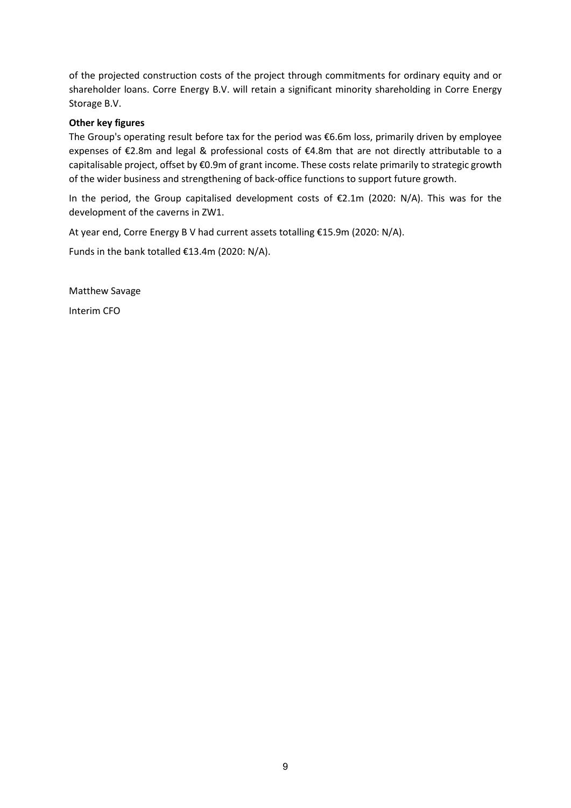of the projected construction costs of the project through commitments for ordinary equity and or shareholder loans. Corre Energy B.V. will retain a significant minority shareholding in Corre Energy Storage B.V.

### **Other key figures**

The Group's operating result before tax for the period was €6.6m loss, primarily driven by employee expenses of €2.8m and legal & professional costs of €4.8m that are not directly attributable to a capitalisable project, offset by €0.9m of grant income. These costs relate primarily to strategic growth of the wider business and strengthening of back-office functions to support future growth.

In the period, the Group capitalised development costs of €2.1m (2020: N/A). This was for the development of the caverns in ZW1.

At year end, Corre Energy B V had current assets totalling €15.9m (2020: N/A).

Funds in the bank totalled €13.4m (2020: N/A).

Matthew Savage

Interim CFO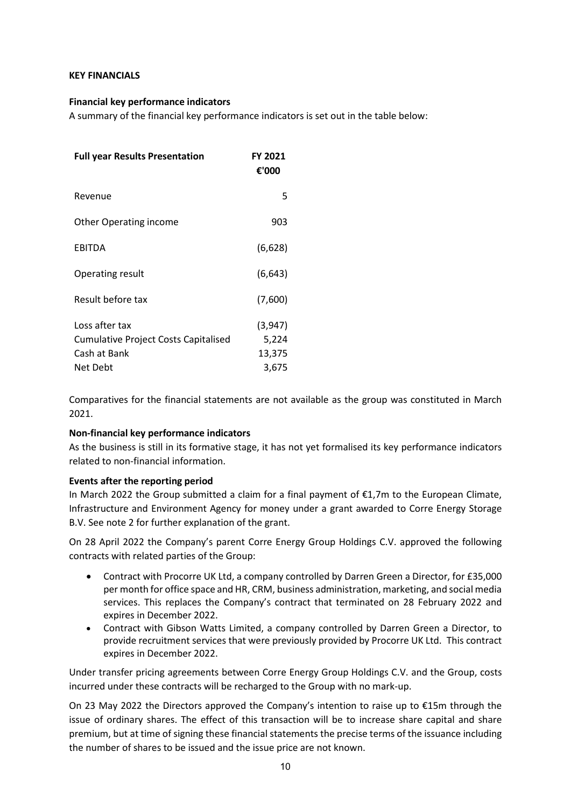#### **KEY FINANCIALS**

#### **Financial key performance indicators**

A summary of the financial key performance indicators is set out in the table below:

| <b>Full year Results Presentation</b>       | FY 2021<br>€'000 |
|---------------------------------------------|------------------|
| Revenue                                     | 5                |
| <b>Other Operating income</b>               | 903              |
| <b>EBITDA</b>                               | (6,628)          |
| Operating result                            | (6, 643)         |
| Result before tax                           | (7,600)          |
| Loss after tax                              | (3,947)          |
| <b>Cumulative Project Costs Capitalised</b> | 5,224            |
| Cash at Bank                                | 13,375           |
| Net Debt                                    | 3,675            |

Comparatives for the financial statements are not available as the group was constituted in March 2021.

# **Non-financial key performance indicators**

As the business is still in its formative stage, it has not yet formalised its key performance indicators related to non-financial information.

#### **Events after the reporting period**

In March 2022 the Group submitted a claim for a final payment of  $\epsilon$ 1,7m to the European Climate, Infrastructure and Environment Agency for money under a grant awarded to Corre Energy Storage B.V. See note 2 for further explanation of the grant.

On 28 April 2022 the Company's parent Corre Energy Group Holdings C.V. approved the following contracts with related parties of the Group:

- Contract with Procorre UK Ltd, a company controlled by Darren Green a Director, for £35,000 per month for office space and HR, CRM, business administration, marketing, and social media services. This replaces the Company's contract that terminated on 28 February 2022 and expires in December 2022.
- Contract with Gibson Watts Limited, a company controlled by Darren Green a Director, to provide recruitment services that were previously provided by Procorre UK Ltd. This contract expires in December 2022.

Under transfer pricing agreements between Corre Energy Group Holdings C.V. and the Group, costs incurred under these contracts will be recharged to the Group with no mark-up.

On 23 May 2022 the Directors approved the Company's intention to raise up to €15m through the issue of ordinary shares. The effect of this transaction will be to increase share capital and share premium, but at time of signing these financial statements the precise terms of the issuance including the number of shares to be issued and the issue price are not known.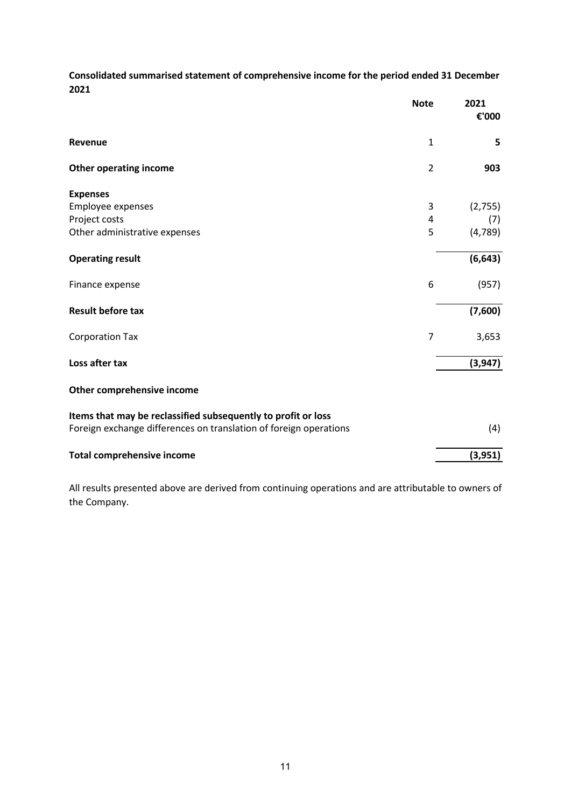**Consolidated summarised statement of comprehensive income for the period ended 31 December 2021**

|                                                                   | <b>Note</b>    | 2021<br>€'000 |
|-------------------------------------------------------------------|----------------|---------------|
| Revenue                                                           | $\mathbf{1}$   | 5             |
| <b>Other operating income</b>                                     | $\overline{2}$ | 903           |
| <b>Expenses</b>                                                   |                |               |
| Employee expenses                                                 | 3              | (2,755)       |
| Project costs                                                     | 4              | (7)           |
| Other administrative expenses                                     | 5              | (4, 789)      |
| <b>Operating result</b>                                           |                | (6, 643)      |
| Finance expense                                                   | 6              | (957)         |
| <b>Result before tax</b>                                          |                | (7,600)       |
| <b>Corporation Tax</b>                                            | $\overline{7}$ | 3,653         |
| Loss after tax                                                    |                | (3, 947)      |
| Other comprehensive income                                        |                |               |
| Items that may be reclassified subsequently to profit or loss     |                |               |
| Foreign exchange differences on translation of foreign operations |                | (4)           |
| <b>Total comprehensive income</b>                                 |                | (3, 951)      |

All results presented above are derived from continuing operations and are attributable to owners of the Company.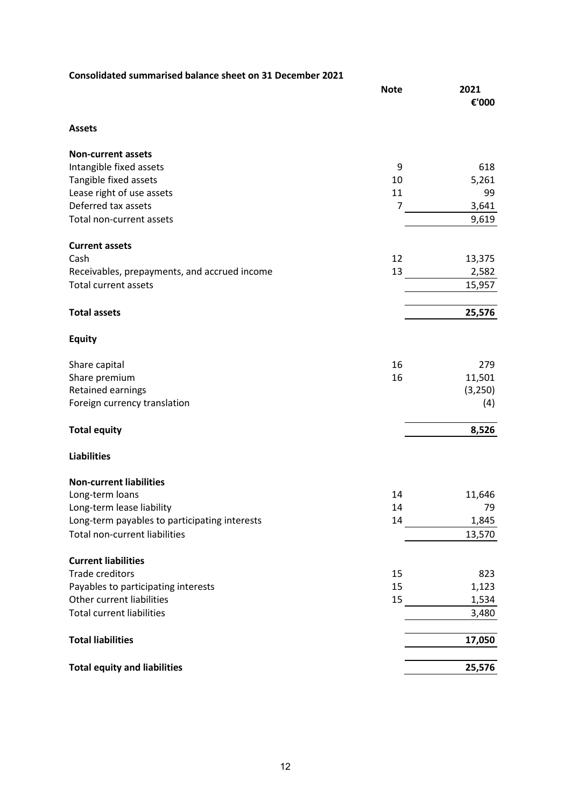| Consolidated summarised balance sheet on 31 December 2021 |                |               |
|-----------------------------------------------------------|----------------|---------------|
|                                                           | <b>Note</b>    | 2021<br>€'000 |
| <b>Assets</b>                                             |                |               |
| <b>Non-current assets</b>                                 |                |               |
| Intangible fixed assets                                   | 9              | 618           |
| Tangible fixed assets                                     | 10             | 5,261         |
| Lease right of use assets                                 | 11             | 99            |
| Deferred tax assets                                       | $\overline{7}$ | 3,641         |
| Total non-current assets                                  |                | 9,619         |
| <b>Current assets</b>                                     |                |               |
| Cash                                                      | 12             | 13,375        |
| Receivables, prepayments, and accrued income              | 13             | 2,582         |
| <b>Total current assets</b>                               |                | 15,957        |
| <b>Total assets</b>                                       |                | 25,576        |
| <b>Equity</b>                                             |                |               |
| Share capital                                             | 16             | 279           |
| Share premium                                             | 16             | 11,501        |
| <b>Retained earnings</b>                                  |                | (3,250)       |
| Foreign currency translation                              |                | (4)           |
| <b>Total equity</b>                                       |                | 8,526         |
| <b>Liabilities</b>                                        |                |               |
| <b>Non-current liabilities</b>                            |                |               |
| Long-term loans                                           | 14             | 11,646        |
| Long-term lease liability                                 | 14             | 79            |
| Long-term payables to participating interests             | 14             | 1,845         |
| <b>Total non-current liabilities</b>                      |                | 13,570        |
| <b>Current liabilities</b>                                |                |               |
| <b>Trade creditors</b>                                    | 15             | 823           |
| Payables to participating interests                       | 15             | 1,123         |
| Other current liabilities                                 | 15             | 1,534         |
| <b>Total current liabilities</b>                          |                | 3,480         |
| <b>Total liabilities</b>                                  |                | 17,050        |
| <b>Total equity and liabilities</b>                       |                | 25,576        |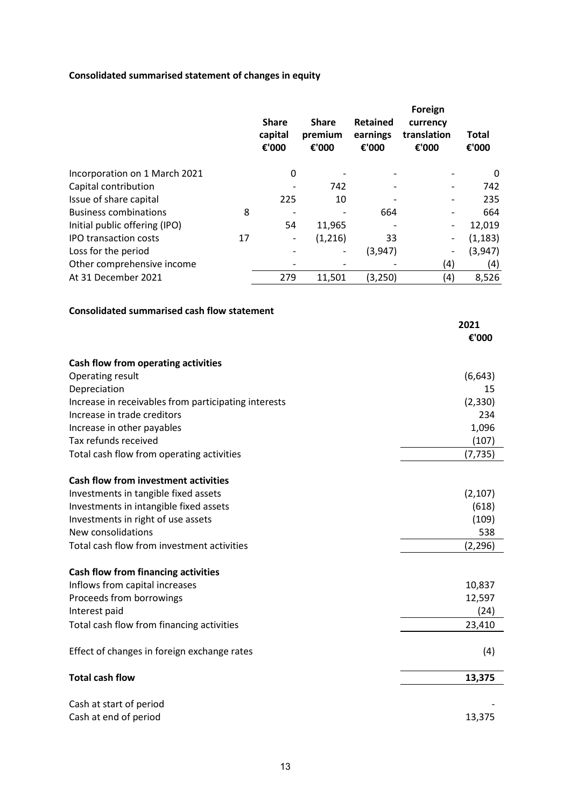# **Consolidated summarised statement of changes in equity**

|                               |    | <b>Share</b><br>capital<br>€'000 | <b>Share</b><br>premium<br>€'000 | Retained<br>earnings<br>€'000 | Foreign<br>currency<br>translation<br>€'000 | <b>Total</b><br>€'000 |
|-------------------------------|----|----------------------------------|----------------------------------|-------------------------------|---------------------------------------------|-----------------------|
| Incorporation on 1 March 2021 |    | 0                                |                                  |                               |                                             | 0                     |
| Capital contribution          |    |                                  | 742                              |                               | -                                           | 742                   |
| Issue of share capital        |    | 225                              | 10                               |                               |                                             | 235                   |
| <b>Business combinations</b>  | 8  |                                  |                                  | 664                           |                                             | 664                   |
| Initial public offering (IPO) |    | 54                               | 11,965                           |                               | -                                           | 12,019                |
| <b>IPO transaction costs</b>  | 17 | $\overline{\phantom{a}}$         | (1,216)                          | 33                            | -                                           | (1, 183)              |
| Loss for the period           |    |                                  |                                  | (3,947)                       | -                                           | (3, 947)              |
| Other comprehensive income    |    |                                  |                                  |                               | (4)                                         | (4)                   |
| At 31 December 2021           |    | 279                              | 11,501                           | (3,250)                       | (4)                                         | 8,526                 |

### **Consolidated summarised cash flow statement**

|                                                      | 2021     |
|------------------------------------------------------|----------|
|                                                      | €'000    |
| Cash flow from operating activities                  |          |
| Operating result                                     | (6, 643) |
| Depreciation                                         | 15       |
| Increase in receivables from participating interests | (2, 330) |
| Increase in trade creditors                          | 234      |
| Increase in other payables                           | 1,096    |
| Tax refunds received                                 | (107)    |
| Total cash flow from operating activities            | (7, 735) |
| <b>Cash flow from investment activities</b>          |          |
| Investments in tangible fixed assets                 | (2, 107) |
| Investments in intangible fixed assets               | (618)    |
| Investments in right of use assets                   | (109)    |
| New consolidations                                   | 538      |
| Total cash flow from investment activities           | (2, 296) |
| Cash flow from financing activities                  |          |
| Inflows from capital increases                       | 10,837   |
| Proceeds from borrowings                             | 12,597   |
| Interest paid                                        | (24)     |
| Total cash flow from financing activities            | 23,410   |
| Effect of changes in foreign exchange rates          | (4)      |
| <b>Total cash flow</b>                               | 13,375   |
| Cash at start of period                              |          |
| Cash at end of period                                | 13,375   |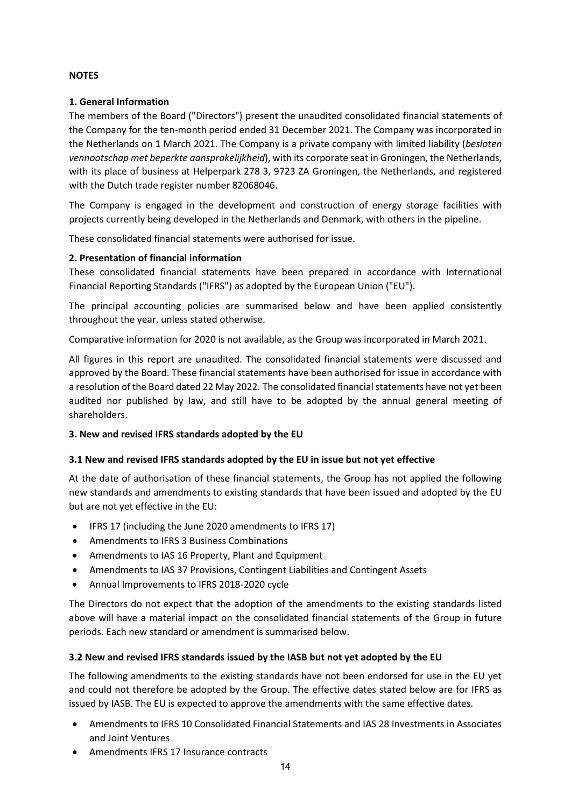# **NOTES**

### **1. General Information**

The members of the Board ("Directors") present the unaudited consolidated financial statements of the Company for the ten-month period ended 31 December 2021. The Company was incorporated in the Netherlands on 1 March 2021. The Company is a private company with limited liability (*besloten vennootschap met beperkte aansprakelijkheid*), with its corporate seat in Groningen, the Netherlands, with its place of business at Helperpark 278 3, 9723 ZA Groningen, the Netherlands, and registered with the Dutch trade register number 82068046.

The Company is engaged in the development and construction of energy storage facilities with projects currently being developed in the Netherlands and Denmark, with others in the pipeline.

These consolidated financial statements were authorised for issue.

### **2. Presentation of financial information**

These consolidated financial statements have been prepared in accordance with International Financial Reporting Standards ("IFRS") as adopted by the European Union ("EU").

The principal accounting policies are summarised below and have been applied consistently throughout the year, unless stated otherwise.

Comparative information for 2020 is not available, as the Group was incorporated in March 2021.

All figures in this report are unaudited. The consolidated financial statements were discussed and approved by the Board. These financial statements have been authorised for issue in accordance with a resolution of the Board dated 22 May 2022. The consolidated financial statements have not yet been audited nor published by law, and still have to be adopted by the annual general meeting of shareholders.

# **3. New and revised IFRS standards adopted by the EU**

#### **3.1 New and revised IFRS standards adopted by the EU in issue but not yet effective**

At the date of authorisation of these financial statements, the Group has not applied the following new standards and amendments to existing standards that have been issued and adopted by the EU but are not yet effective in the EU:

- IFRS 17 (including the June 2020 amendments to IFRS 17)
- Amendments to IFRS 3 Business Combinations
- Amendments to IAS 16 Property, Plant and Equipment
- Amendments to IAS 37 Provisions, Contingent Liabilities and Contingent Assets
- Annual Improvements to IFRS 2018-2020 cycle

The Directors do not expect that the adoption of the amendments to the existing standards listed above will have a material impact on the consolidated financial statements of the Group in future periods. Each new standard or amendment is summarised below.

# **3.2 New and revised IFRS standards issued by the IASB but not yet adopted by the EU**

The following amendments to the existing standards have not been endorsed for use in the EU yet and could not therefore be adopted by the Group. The effective dates stated below are for IFRS as issued by IASB. The EU is expected to approve the amendments with the same effective dates.

- Amendments to IFRS 10 Consolidated Financial Statements and IAS 28 Investments in Associates and Joint Ventures
- Amendments IFRS 17 Insurance contracts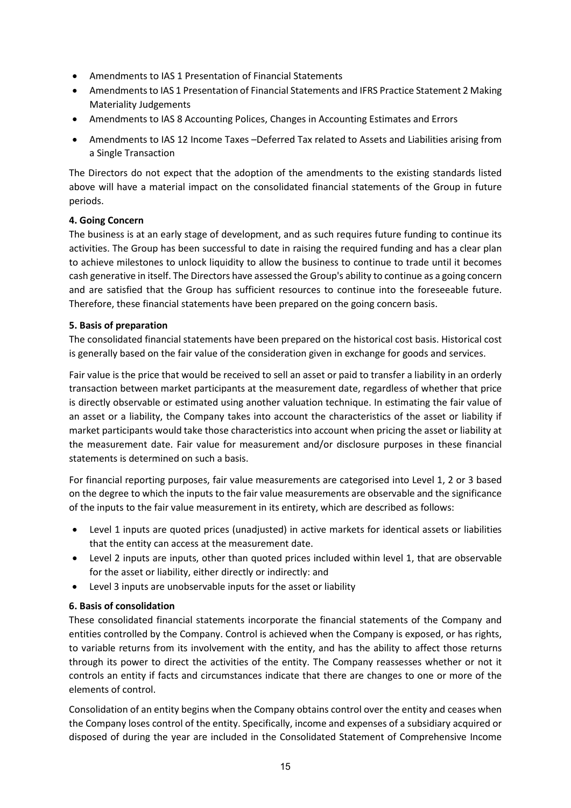- Amendments to IAS 1 Presentation of Financial Statements
- Amendments to IAS 1 Presentation of Financial Statements and IFRS Practice Statement 2 Making Materiality Judgements
- Amendments to IAS 8 Accounting Polices, Changes in Accounting Estimates and Errors
- Amendments to IAS 12 Income Taxes –Deferred Tax related to Assets and Liabilities arising from a Single Transaction

The Directors do not expect that the adoption of the amendments to the existing standards listed above will have a material impact on the consolidated financial statements of the Group in future periods.

# **4. Going Concern**

The business is at an early stage of development, and as such requires future funding to continue its activities. The Group has been successful to date in raising the required funding and has a clear plan to achieve milestones to unlock liquidity to allow the business to continue to trade until it becomes cash generative in itself. The Directors have assessed the Group's ability to continue as a going concern and are satisfied that the Group has sufficient resources to continue into the foreseeable future. Therefore, these financial statements have been prepared on the going concern basis.

# **5. Basis of preparation**

The consolidated financial statements have been prepared on the historical cost basis. Historical cost is generally based on the fair value of the consideration given in exchange for goods and services.

Fair value is the price that would be received to sell an asset or paid to transfer a liability in an orderly transaction between market participants at the measurement date, regardless of whether that price is directly observable or estimated using another valuation technique. In estimating the fair value of an asset or a liability, the Company takes into account the characteristics of the asset or liability if market participants would take those characteristics into account when pricing the asset or liability at the measurement date. Fair value for measurement and/or disclosure purposes in these financial statements is determined on such a basis.

For financial reporting purposes, fair value measurements are categorised into Level 1, 2 or 3 based on the degree to which the inputs to the fair value measurements are observable and the significance of the inputs to the fair value measurement in its entirety, which are described as follows:

- Level 1 inputs are quoted prices (unadjusted) in active markets for identical assets or liabilities that the entity can access at the measurement date.
- Level 2 inputs are inputs, other than quoted prices included within level 1, that are observable for the asset or liability, either directly or indirectly: and
- Level 3 inputs are unobservable inputs for the asset or liability

# **6. Basis of consolidation**

These consolidated financial statements incorporate the financial statements of the Company and entities controlled by the Company. Control is achieved when the Company is exposed, or has rights, to variable returns from its involvement with the entity, and has the ability to affect those returns through its power to direct the activities of the entity. The Company reassesses whether or not it controls an entity if facts and circumstances indicate that there are changes to one or more of the elements of control.

Consolidation of an entity begins when the Company obtains control over the entity and ceases when the Company loses control of the entity. Specifically, income and expenses of a subsidiary acquired or disposed of during the year are included in the Consolidated Statement of Comprehensive Income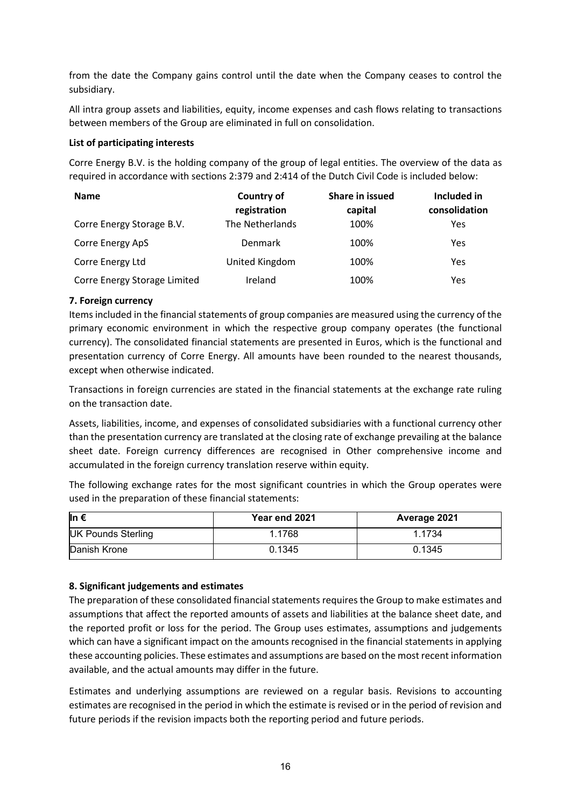from the date the Company gains control until the date when the Company ceases to control the subsidiary.

All intra group assets and liabilities, equity, income expenses and cash flows relating to transactions between members of the Group are eliminated in full on consolidation.

#### **List of participating interests**

Corre Energy B.V. is the holding company of the group of legal entities. The overview of the data as required in accordance with sections 2:379 and 2:414 of the Dutch Civil Code is included below:

| <b>Name</b>                  | <b>Country of</b> | Share in issued | Included in   |
|------------------------------|-------------------|-----------------|---------------|
|                              | registration      | capital         | consolidation |
| Corre Energy Storage B.V.    | The Netherlands   | 100%            | Yes           |
| Corre Energy ApS             | Denmark           | 100%            | Yes           |
| Corre Energy Ltd             | United Kingdom    | 100%            | Yes           |
| Corre Energy Storage Limited | Ireland           | 100%            | Yes           |

### **7. Foreign currency**

Items included in the financial statements of group companies are measured using the currency of the primary economic environment in which the respective group company operates (the functional currency). The consolidated financial statements are presented in Euros, which is the functional and presentation currency of Corre Energy. All amounts have been rounded to the nearest thousands, except when otherwise indicated.

Transactions in foreign currencies are stated in the financial statements at the exchange rate ruling on the transaction date.

Assets, liabilities, income, and expenses of consolidated subsidiaries with a functional currency other than the presentation currency are translated at the closing rate of exchange prevailing at the balance sheet date. Foreign currency differences are recognised in Other comprehensive income and accumulated in the foreign currency translation reserve within equity.

The following exchange rates for the most significant countries in which the Group operates were used in the preparation of these financial statements:

| lln €                     | Year end 2021 | Average 2021 |
|---------------------------|---------------|--------------|
| <b>UK Pounds Sterling</b> | 1.1768        | 1.1734       |
| Danish Krone              | 0.1345        | 0.1345       |

# **8. Significant judgements and estimates**

The preparation of these consolidated financial statements requires the Group to make estimates and assumptions that affect the reported amounts of assets and liabilities at the balance sheet date, and the reported profit or loss for the period. The Group uses estimates, assumptions and judgements which can have a significant impact on the amounts recognised in the financial statements in applying these accounting policies. These estimates and assumptions are based on the most recent information available, and the actual amounts may differ in the future.

Estimates and underlying assumptions are reviewed on a regular basis. Revisions to accounting estimates are recognised in the period in which the estimate is revised or in the period of revision and future periods if the revision impacts both the reporting period and future periods.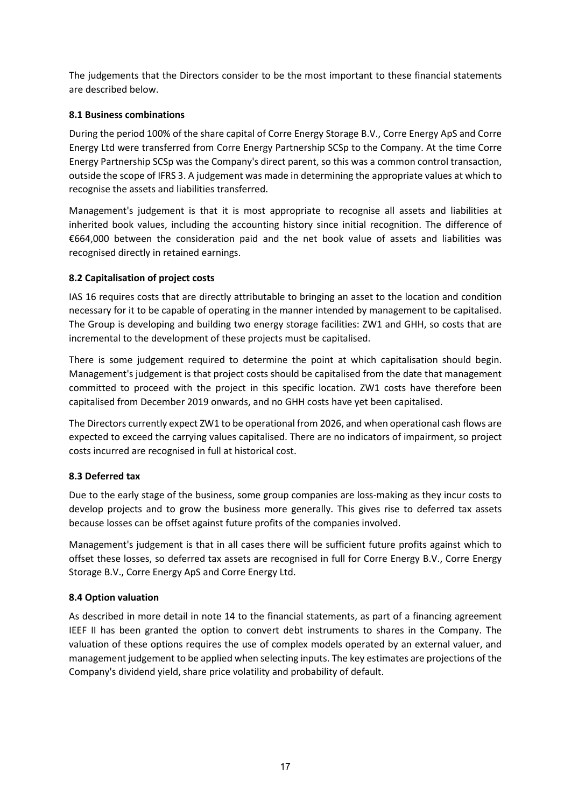The judgements that the Directors consider to be the most important to these financial statements are described below.

# **8.1 Business combinations**

During the period 100% of the share capital of Corre Energy Storage B.V., Corre Energy ApS and Corre Energy Ltd were transferred from Corre Energy Partnership SCSp to the Company. At the time Corre Energy Partnership SCSp was the Company's direct parent, so this was a common control transaction, outside the scope of IFRS 3. A judgement was made in determining the appropriate values at which to recognise the assets and liabilities transferred.

Management's judgement is that it is most appropriate to recognise all assets and liabilities at inherited book values, including the accounting history since initial recognition. The difference of €664,000 between the consideration paid and the net book value of assets and liabilities was recognised directly in retained earnings.

# **8.2 Capitalisation of project costs**

IAS 16 requires costs that are directly attributable to bringing an asset to the location and condition necessary for it to be capable of operating in the manner intended by management to be capitalised. The Group is developing and building two energy storage facilities: ZW1 and GHH, so costs that are incremental to the development of these projects must be capitalised.

There is some judgement required to determine the point at which capitalisation should begin. Management's judgement is that project costs should be capitalised from the date that management committed to proceed with the project in this specific location. ZW1 costs have therefore been capitalised from December 2019 onwards, and no GHH costs have yet been capitalised.

The Directors currently expect ZW1 to be operational from 2026, and when operational cash flows are expected to exceed the carrying values capitalised. There are no indicators of impairment, so project costs incurred are recognised in full at historical cost.

# **8.3 Deferred tax**

Due to the early stage of the business, some group companies are loss-making as they incur costs to develop projects and to grow the business more generally. This gives rise to deferred tax assets because losses can be offset against future profits of the companies involved.

Management's judgement is that in all cases there will be sufficient future profits against which to offset these losses, so deferred tax assets are recognised in full for Corre Energy B.V., Corre Energy Storage B.V., Corre Energy ApS and Corre Energy Ltd.

# **8.4 Option valuation**

As described in more detail in note 14 to the financial statements, as part of a financing agreement IEEF II has been granted the option to convert debt instruments to shares in the Company. The valuation of these options requires the use of complex models operated by an external valuer, and management judgement to be applied when selecting inputs. The key estimates are projections of the Company's dividend yield, share price volatility and probability of default.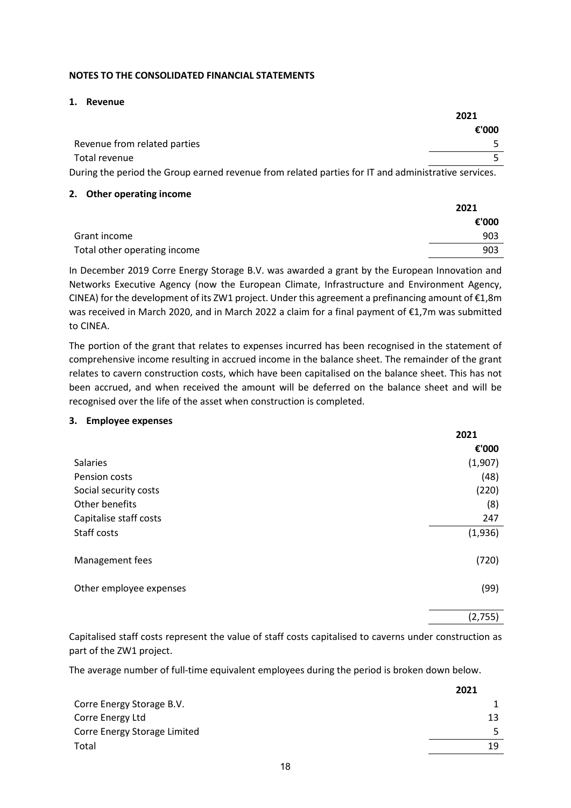#### **NOTES TO THE CONSOLIDATED FINANCIAL STATEMENTS**

#### **1. Revenue**

|                                                                                                     | 2021  |  |
|-----------------------------------------------------------------------------------------------------|-------|--|
|                                                                                                     | €'000 |  |
| Revenue from related parties                                                                        |       |  |
| Total revenue                                                                                       |       |  |
| During the period the Group earned revenue from related parties for IT and administrative services. |       |  |

#### **2. Other operating income**

|                              | 2021  |
|------------------------------|-------|
|                              | €'000 |
| Grant income                 | 903   |
| Total other operating income | 903   |

In December 2019 Corre Energy Storage B.V. was awarded a grant by the European Innovation and Networks Executive Agency (now the European Climate, Infrastructure and Environment Agency, CINEA) for the development of its ZW1 project. Under this agreement a prefinancing amount of €1,8m was received in March 2020, and in March 2022 a claim for a final payment of €1,7m was submitted to CINEA.

The portion of the grant that relates to expenses incurred has been recognised in the statement of comprehensive income resulting in accrued income in the balance sheet. The remainder of the grant relates to cavern construction costs, which have been capitalised on the balance sheet. This has not been accrued, and when received the amount will be deferred on the balance sheet and will be recognised over the life of the asset when construction is completed.

#### **3. Employee expenses**

|                         | 2021    |
|-------------------------|---------|
|                         | €'000   |
| Salaries                | (1,907) |
| Pension costs           | (48)    |
| Social security costs   | (220)   |
| Other benefits          | (8)     |
| Capitalise staff costs  | 247     |
| Staff costs             | (1,936) |
| Management fees         | (720)   |
| Other employee expenses | (99)    |
|                         | (2,755) |

Capitalised staff costs represent the value of staff costs capitalised to caverns under construction as part of the ZW1 project.

The average number of full-time equivalent employees during the period is broken down below.

|                              | 2021 |
|------------------------------|------|
| Corre Energy Storage B.V.    |      |
| Corre Energy Ltd             | 13   |
| Corre Energy Storage Limited |      |
| Total                        | 19   |
|                              |      |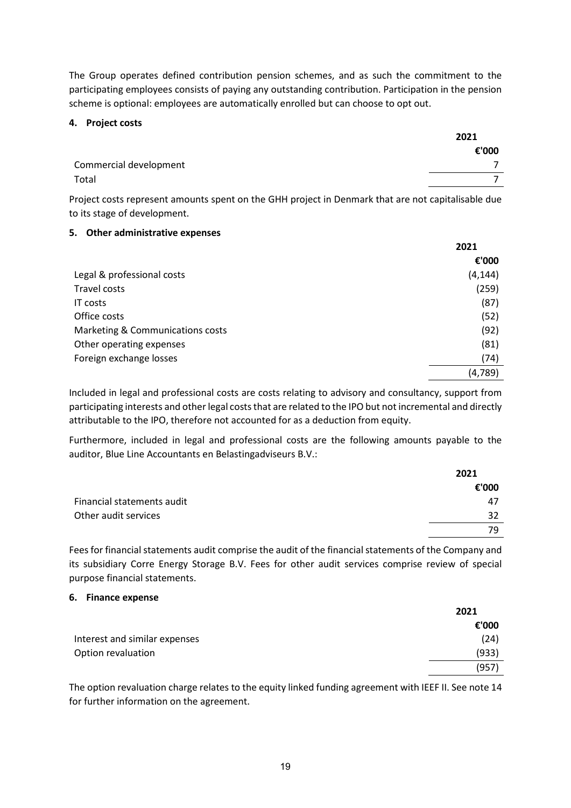The Group operates defined contribution pension schemes, and as such the commitment to the participating employees consists of paying any outstanding contribution. Participation in the pension scheme is optional: employees are automatically enrolled but can choose to opt out.

#### **4. Project costs**

|                        | 2021  |  |
|------------------------|-------|--|
|                        | €'000 |  |
| Commercial development |       |  |
| Total                  |       |  |

Project costs represent amounts spent on the GHH project in Denmark that are not capitalisable due to its stage of development.

# **5. Other administrative expenses**

|                                  | 2021     |
|----------------------------------|----------|
|                                  | €'000    |
| Legal & professional costs       | (4, 144) |
| Travel costs                     | (259)    |
| <b>IT costs</b>                  | (87)     |
| Office costs                     | (52)     |
| Marketing & Communications costs | (92)     |
| Other operating expenses         | (81)     |
| Foreign exchange losses          | (74)     |
|                                  | (4,789)  |

Included in legal and professional costs are costs relating to advisory and consultancy, support from participating interests and other legal costs that are related to the IPO but not incremental and directly attributable to the IPO, therefore not accounted for as a deduction from equity.

Furthermore, included in legal and professional costs are the following amounts payable to the auditor, Blue Line Accountants en Belastingadviseurs B.V.:

|                            | 2021  |
|----------------------------|-------|
|                            | €'000 |
| Financial statements audit | 47    |
| Other audit services       | 32    |
|                            | 79    |

Fees for financial statements audit comprise the audit of the financial statements of the Company and its subsidiary Corre Energy Storage B.V. Fees for other audit services comprise review of special purpose financial statements.

#### **6. Finance expense**

|                               | 2021  |
|-------------------------------|-------|
|                               | €'000 |
| Interest and similar expenses | (24)  |
| Option revaluation            | (933) |
|                               | (957) |

The option revaluation charge relates to the equity linked funding agreement with IEEF II. See note 14 for further information on the agreement.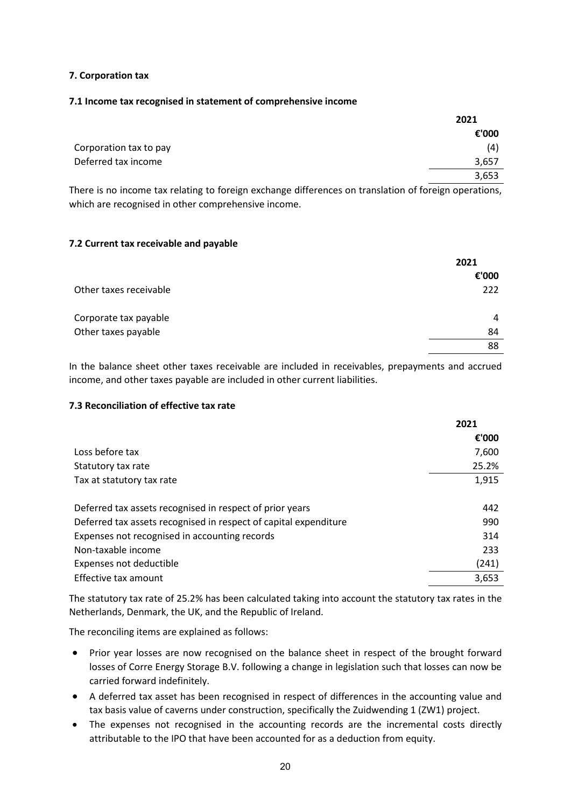#### **7. Corporation tax**

#### **7.1 Income tax recognised in statement of comprehensive income**

|                        | 2021  |
|------------------------|-------|
|                        | €'000 |
| Corporation tax to pay | (4)   |
| Deferred tax income    | 3,657 |
|                        | 3,653 |

There is no income tax relating to foreign exchange differences on translation of foreign operations, which are recognised in other comprehensive income.

### **7.2 Current tax receivable and payable**

|                        | 2021  |
|------------------------|-------|
|                        | €'000 |
| Other taxes receivable | 222   |
| Corporate tax payable  | 4     |
| Other taxes payable    | 84    |
|                        | 88    |
|                        |       |

In the balance sheet other taxes receivable are included in receivables, prepayments and accrued income, and other taxes payable are included in other current liabilities.

### **7.3 Reconciliation of effective tax rate**

|                                                                  | 2021  |
|------------------------------------------------------------------|-------|
|                                                                  | €'000 |
| Loss before tax                                                  | 7,600 |
| Statutory tax rate                                               | 25.2% |
| Tax at statutory tax rate                                        | 1,915 |
| Deferred tax assets recognised in respect of prior years         | 442   |
| Deferred tax assets recognised in respect of capital expenditure | 990   |
| Expenses not recognised in accounting records                    | 314   |
| Non-taxable income                                               | 233   |
| Expenses not deductible                                          | (241) |
| Effective tax amount                                             | 3.653 |

The statutory tax rate of 25.2% has been calculated taking into account the statutory tax rates in the Netherlands, Denmark, the UK, and the Republic of Ireland.

The reconciling items are explained as follows:

- Prior year losses are now recognised on the balance sheet in respect of the brought forward losses of Corre Energy Storage B.V. following a change in legislation such that losses can now be carried forward indefinitely.
- A deferred tax asset has been recognised in respect of differences in the accounting value and tax basis value of caverns under construction, specifically the Zuidwending 1 (ZW1) project.
- The expenses not recognised in the accounting records are the incremental costs directly attributable to the IPO that have been accounted for as a deduction from equity.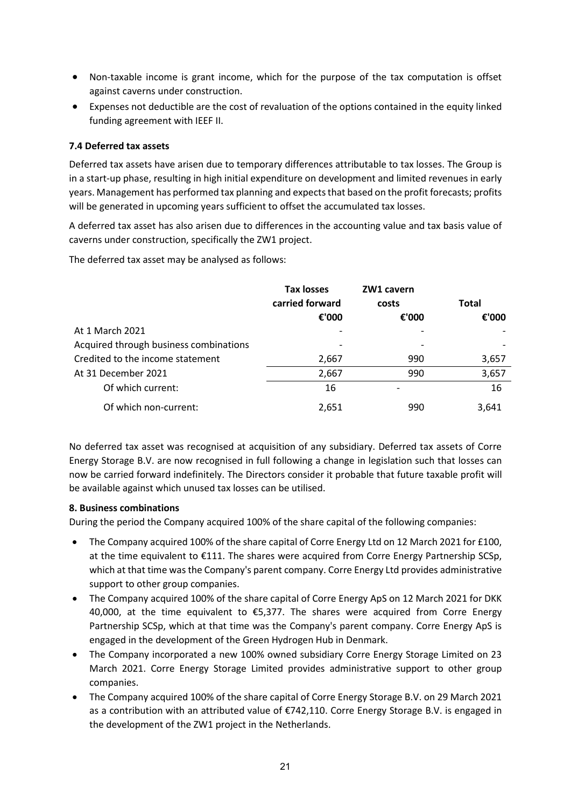- Non-taxable income is grant income, which for the purpose of the tax computation is offset against caverns under construction.
- Expenses not deductible are the cost of revaluation of the options contained in the equity linked funding agreement with IEEF II.

### **7.4 Deferred tax assets**

Deferred tax assets have arisen due to temporary differences attributable to tax losses. The Group is in a start-up phase, resulting in high initial expenditure on development and limited revenues in early years. Management has performed tax planning and expects that based on the profit forecasts; profits will be generated in upcoming years sufficient to offset the accumulated tax losses.

A deferred tax asset has also arisen due to differences in the accounting value and tax basis value of caverns under construction, specifically the ZW1 project.

The deferred tax asset may be analysed as follows:

|                                        | <b>Tax losses</b><br>carried forward | ZW1 cavern<br>costs | <b>Total</b> |  |
|----------------------------------------|--------------------------------------|---------------------|--------------|--|
|                                        | €'000                                | €'000               | €'000        |  |
| At 1 March 2021                        |                                      |                     |              |  |
| Acquired through business combinations |                                      |                     |              |  |
| Credited to the income statement       | 2,667                                | 990                 | 3,657        |  |
| At 31 December 2021                    | 2,667                                | 990                 | 3,657        |  |
| Of which current:                      | 16                                   |                     | 16           |  |
| Of which non-current:                  | 2,651                                | 990                 | 3.641        |  |

No deferred tax asset was recognised at acquisition of any subsidiary. Deferred tax assets of Corre Energy Storage B.V. are now recognised in full following a change in legislation such that losses can now be carried forward indefinitely. The Directors consider it probable that future taxable profit will be available against which unused tax losses can be utilised.

#### **8. Business combinations**

During the period the Company acquired 100% of the share capital of the following companies:

- The Company acquired 100% of the share capital of Corre Energy Ltd on 12 March 2021 for £100, at the time equivalent to €111. The shares were acquired from Corre Energy Partnership SCSp, which at that time was the Company's parent company. Corre Energy Ltd provides administrative support to other group companies.
- The Company acquired 100% of the share capital of Corre Energy ApS on 12 March 2021 for DKK 40,000, at the time equivalent to €5,377. The shares were acquired from Corre Energy Partnership SCSp, which at that time was the Company's parent company. Corre Energy ApS is engaged in the development of the Green Hydrogen Hub in Denmark.
- The Company incorporated a new 100% owned subsidiary Corre Energy Storage Limited on 23 March 2021. Corre Energy Storage Limited provides administrative support to other group companies.
- The Company acquired 100% of the share capital of Corre Energy Storage B.V. on 29 March 2021 as a contribution with an attributed value of €742,110. Corre Energy Storage B.V. is engaged in the development of the ZW1 project in the Netherlands.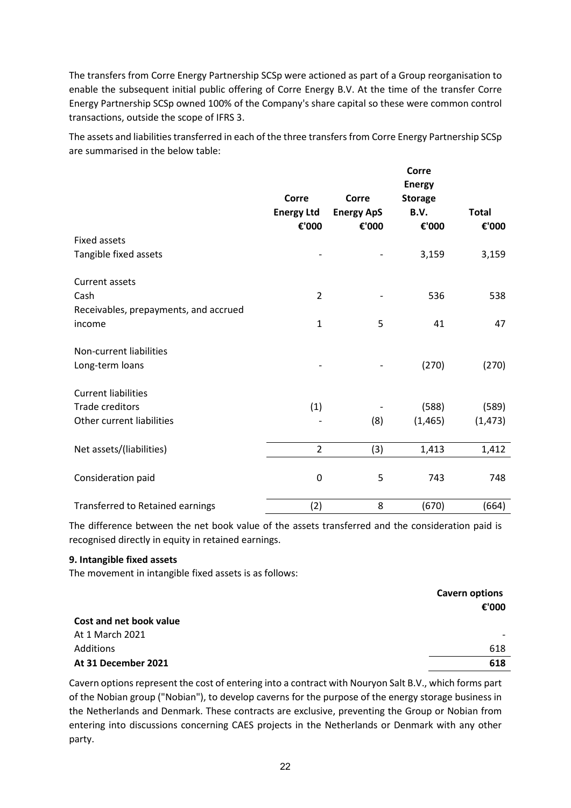The transfers from Corre Energy Partnership SCSp were actioned as part of a Group reorganisation to enable the subsequent initial public offering of Corre Energy B.V. At the time of the transfer Corre Energy Partnership SCSp owned 100% of the Company's share capital so these were common control transactions, outside the scope of IFRS 3.

The assets and liabilities transferred in each of the three transfers from Corre Energy Partnership SCSp are summarised in the below table:

|                                         | Corre<br><b>Energy Ltd</b><br>€'000 | Corre<br><b>Energy ApS</b><br>€'000 | Corre<br><b>Energy</b><br><b>Storage</b><br>B.V.<br>€'000 | <b>Total</b><br>€'000 |
|-----------------------------------------|-------------------------------------|-------------------------------------|-----------------------------------------------------------|-----------------------|
| <b>Fixed assets</b>                     |                                     |                                     |                                                           |                       |
| Tangible fixed assets                   |                                     |                                     | 3,159                                                     | 3,159                 |
| <b>Current assets</b>                   |                                     |                                     |                                                           |                       |
| Cash                                    | $\overline{2}$                      |                                     | 536                                                       | 538                   |
| Receivables, prepayments, and accrued   |                                     |                                     |                                                           |                       |
| income                                  | $\mathbf{1}$                        | 5                                   | 41                                                        | 47                    |
| Non-current liabilities                 |                                     |                                     |                                                           |                       |
| Long-term loans                         |                                     |                                     | (270)                                                     | (270)                 |
| <b>Current liabilities</b>              |                                     |                                     |                                                           |                       |
| <b>Trade creditors</b>                  | (1)                                 |                                     | (588)                                                     | (589)                 |
| Other current liabilities               |                                     | (8)                                 | (1, 465)                                                  | (1, 473)              |
| Net assets/(liabilities)                | $\overline{2}$                      | (3)                                 | 1,413                                                     | 1,412                 |
| Consideration paid                      | $\mathbf 0$                         | 5                                   | 743                                                       | 748                   |
| <b>Transferred to Retained earnings</b> | (2)                                 | 8                                   | (670)                                                     | (664)                 |

The difference between the net book value of the assets transferred and the consideration paid is recognised directly in equity in retained earnings.

#### **9. Intangible fixed assets**

The movement in intangible fixed assets is as follows:

# **Cavern options €'000 Cost and net book value** At 1 March 2021 Additions 618 **At 31 December 2021 618**

Cavern options represent the cost of entering into a contract with Nouryon Salt B.V., which forms part of the Nobian group ("Nobian"), to develop caverns for the purpose of the energy storage business in the Netherlands and Denmark. These contracts are exclusive, preventing the Group or Nobian from entering into discussions concerning CAES projects in the Netherlands or Denmark with any other party.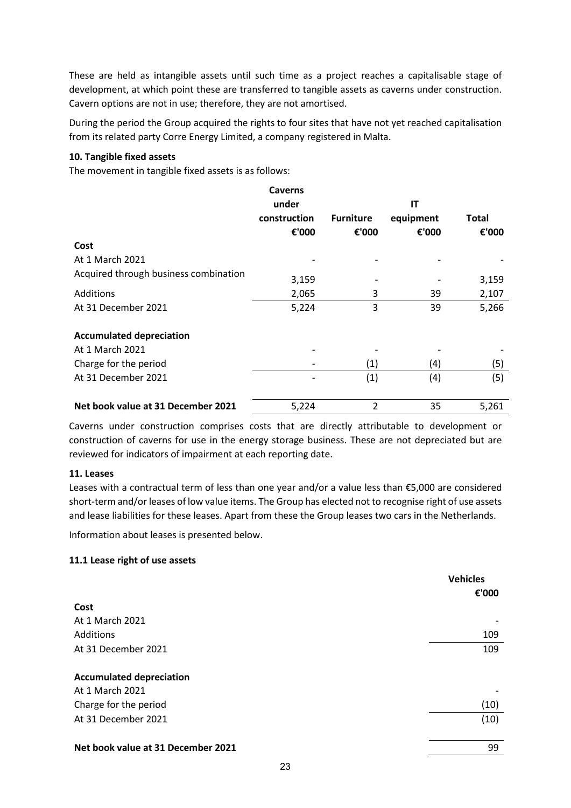These are held as intangible assets until such time as a project reaches a capitalisable stage of development, at which point these are transferred to tangible assets as caverns under construction. Cavern options are not in use; therefore, they are not amortised.

During the period the Group acquired the rights to four sites that have not yet reached capitalisation from its related party Corre Energy Limited, a company registered in Malta.

### **10. Tangible fixed assets**

The movement in tangible fixed assets is as follows:

|                                       | <b>Caverns</b> |                  |           |       |
|---------------------------------------|----------------|------------------|-----------|-------|
|                                       | under          |                  | IT        |       |
|                                       | construction   | <b>Furniture</b> | equipment | Total |
|                                       | €'000          | €'000            | €'000     | €'000 |
| Cost                                  |                |                  |           |       |
| At 1 March 2021                       |                |                  |           |       |
| Acquired through business combination | 3,159          |                  |           | 3,159 |
| Additions                             | 2,065          | 3                | 39        | 2,107 |
| At 31 December 2021                   | 5,224          | 3                | 39        | 5,266 |
| <b>Accumulated depreciation</b>       |                |                  |           |       |
| At 1 March 2021                       |                |                  |           |       |
| Charge for the period                 |                | (1)              | (4)       | (5)   |
| At 31 December 2021                   |                | (1)              | (4)       | (5)   |
| Net book value at 31 December 2021    | 5,224          | $\overline{2}$   | 35        | 5,261 |

Caverns under construction comprises costs that are directly attributable to development or construction of caverns for use in the energy storage business. These are not depreciated but are reviewed for indicators of impairment at each reporting date.

#### **11. Leases**

Leases with a contractual term of less than one year and/or a value less than €5,000 are considered short-term and/or leases of low value items. The Group has elected not to recognise right of use assets and lease liabilities for these leases. Apart from these the Group leases two cars in the Netherlands.

Information about leases is presented below.

#### **11.1 Lease right of use assets**

|                                    | <b>Vehicles</b> |
|------------------------------------|-----------------|
| Cost                               | €'000           |
| At 1 March 2021                    |                 |
| Additions                          | 109             |
| At 31 December 2021                | 109             |
| <b>Accumulated depreciation</b>    |                 |
| At 1 March 2021                    |                 |
| Charge for the period              | (10)            |
| At 31 December 2021                | (10)            |
| Net book value at 31 December 2021 | 99              |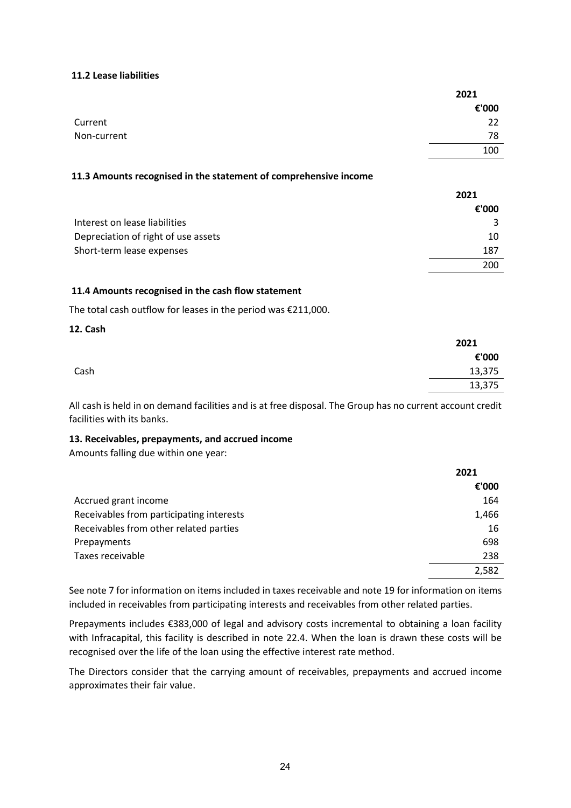#### **11.2 Lease liabilities**

|             | 2021  |
|-------------|-------|
|             | €'000 |
| Current     | 22    |
| Non-current | 78    |
|             | 100   |

#### **11.3 Amounts recognised in the statement of comprehensive income**

|                                     | 2021  |
|-------------------------------------|-------|
|                                     | €'000 |
| Interest on lease liabilities       |       |
| Depreciation of right of use assets | 10    |
| Short-term lease expenses           | 187   |
|                                     | 200   |

#### **11.4 Amounts recognised in the cash flow statement**

The total cash outflow for leases in the period was €211,000.

#### **12. Cash**

|      | 2021   |
|------|--------|
|      | €'000  |
| Cash | 13,375 |
|      | 13,375 |

All cash is held in on demand facilities and is at free disposal. The Group has no current account credit facilities with its banks.

#### **13. Receivables, prepayments, and accrued income**

Amounts falling due within one year:

|                                          | 2021  |
|------------------------------------------|-------|
|                                          | €'000 |
| Accrued grant income                     | 164   |
| Receivables from participating interests | 1,466 |
| Receivables from other related parties   | 16    |
| Prepayments                              | 698   |
| Taxes receivable                         | 238   |
|                                          | 2,582 |

See note 7 for information on items included in taxes receivable and note 19 for information on items included in receivables from participating interests and receivables from other related parties.

Prepayments includes €383,000 of legal and advisory costs incremental to obtaining a loan facility with Infracapital, this facility is described in note 22.4. When the loan is drawn these costs will be recognised over the life of the loan using the effective interest rate method.

The Directors consider that the carrying amount of receivables, prepayments and accrued income approximates their fair value.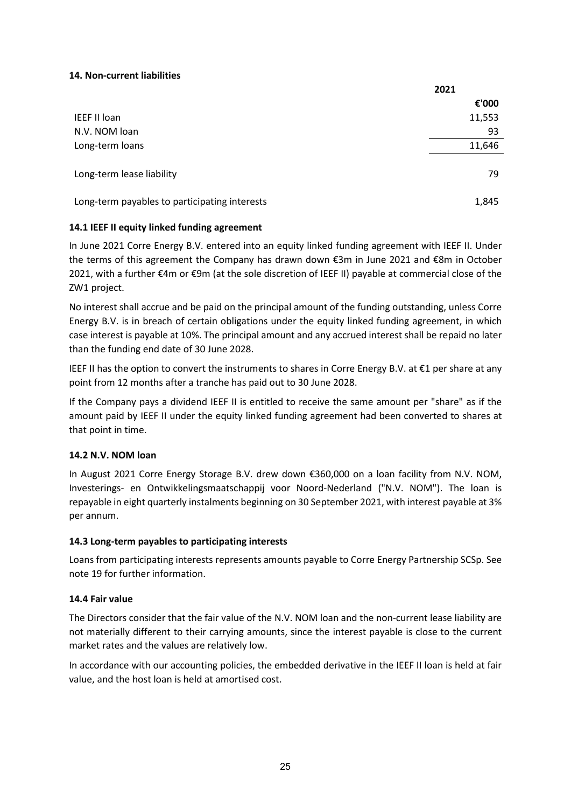### **14. Non-current liabilities**

|                                               | 2021   |
|-----------------------------------------------|--------|
|                                               | €'000  |
| <b>IEEF II loan</b>                           | 11,553 |
| N.V. NOM loan                                 | 93     |
| Long-term loans                               | 11,646 |
| Long-term lease liability                     | 79     |
| Long-term payables to participating interests | 1,845  |

### **14.1 IEEF II equity linked funding agreement**

In June 2021 Corre Energy B.V. entered into an equity linked funding agreement with IEEF II. Under the terms of this agreement the Company has drawn down €3m in June 2021 and €8m in October 2021, with a further €4m or €9m (at the sole discretion of IEEF II) payable at commercial close of the ZW1 project.

No interest shall accrue and be paid on the principal amount of the funding outstanding, unless Corre Energy B.V. is in breach of certain obligations under the equity linked funding agreement, in which case interest is payable at 10%. The principal amount and any accrued interest shall be repaid no later than the funding end date of 30 June 2028.

IEEF II has the option to convert the instruments to shares in Corre Energy B.V. at €1 per share at any point from 12 months after a tranche has paid out to 30 June 2028.

If the Company pays a dividend IEEF II is entitled to receive the same amount per "share" as if the amount paid by IEEF II under the equity linked funding agreement had been converted to shares at that point in time.

#### **14.2 N.V. NOM loan**

In August 2021 Corre Energy Storage B.V. drew down €360,000 on a loan facility from N.V. NOM, Investerings- en Ontwikkelingsmaatschappij voor Noord-Nederland ("N.V. NOM"). The loan is repayable in eight quarterly instalments beginning on 30 September 2021, with interest payable at 3% per annum.

#### **14.3 Long-term payables to participating interests**

Loans from participating interests represents amounts payable to Corre Energy Partnership SCSp. See note 19 for further information.

#### **14.4 Fair value**

The Directors consider that the fair value of the N.V. NOM loan and the non-current lease liability are not materially different to their carrying amounts, since the interest payable is close to the current market rates and the values are relatively low.

In accordance with our accounting policies, the embedded derivative in the IEEF II loan is held at fair value, and the host loan is held at amortised cost.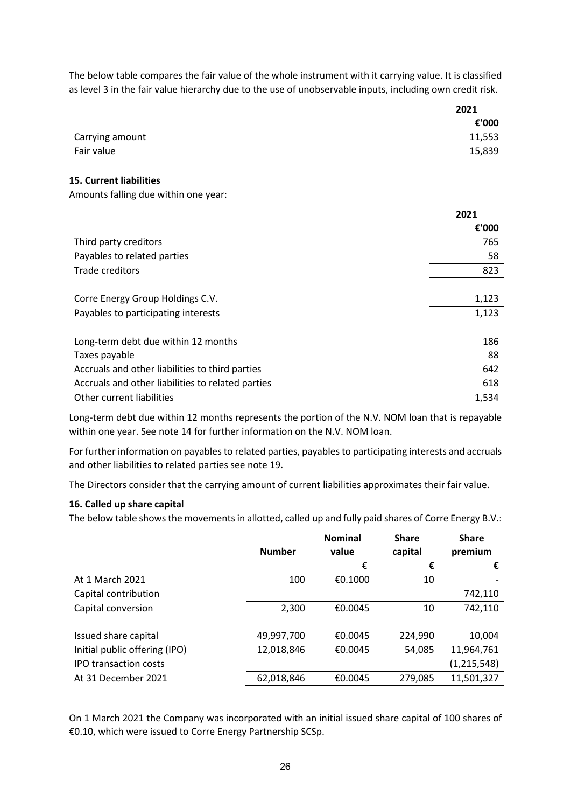The below table compares the fair value of the whole instrument with it carrying value. It is classified as level 3 in the fair value hierarchy due to the use of unobservable inputs, including own credit risk.

|                                      | 2021   |
|--------------------------------------|--------|
|                                      | €'000  |
| Carrying amount                      | 11,553 |
| Fair value                           | 15,839 |
| <b>15. Current liabilities</b>       |        |
| Amounts falling due within one year: |        |
|                                      | 2021   |

|                                                   | 2021  |
|---------------------------------------------------|-------|
|                                                   | €'000 |
| Third party creditors                             | 765   |
| Payables to related parties                       | 58    |
| Trade creditors                                   | 823   |
|                                                   |       |
| Corre Energy Group Holdings C.V.                  | 1,123 |
| Payables to participating interests               | 1,123 |
|                                                   |       |
| Long-term debt due within 12 months               | 186   |
| Taxes payable                                     | 88    |
| Accruals and other liabilities to third parties   | 642   |
| Accruals and other liabilities to related parties | 618   |
| Other current liabilities                         | 1,534 |

Long-term debt due within 12 months represents the portion of the N.V. NOM loan that is repayable within one year. See note 14 for further information on the N.V. NOM loan.

For further information on payables to related parties, payables to participating interests and accruals and other liabilities to related parties see note 19.

The Directors consider that the carrying amount of current liabilities approximates their fair value.

#### **16. Called up share capital**

The below table shows the movements in allotted, called up and fully paid shares of Corre Energy B.V.:

|                               | <b>Number</b> | <b>Nominal</b><br>value | <b>Share</b><br>capital | <b>Share</b><br>premium |
|-------------------------------|---------------|-------------------------|-------------------------|-------------------------|
|                               |               | €                       | €                       | €                       |
| At 1 March 2021               | 100           | €0.1000                 | 10                      |                         |
| Capital contribution          |               |                         |                         | 742,110                 |
| Capital conversion            | 2,300         | €0.0045                 | 10                      | 742,110                 |
| Issued share capital          | 49,997,700    | €0.0045                 | 224,990                 | 10,004                  |
| Initial public offering (IPO) | 12,018,846    | €0.0045                 | 54,085                  | 11,964,761              |
| <b>IPO transaction costs</b>  |               |                         |                         | (1, 215, 548)           |
| At 31 December 2021           | 62,018,846    | €0.0045                 | 279,085                 | 11,501,327              |

On 1 March 2021 the Company was incorporated with an initial issued share capital of 100 shares of €0.10, which were issued to Corre Energy Partnership SCSp.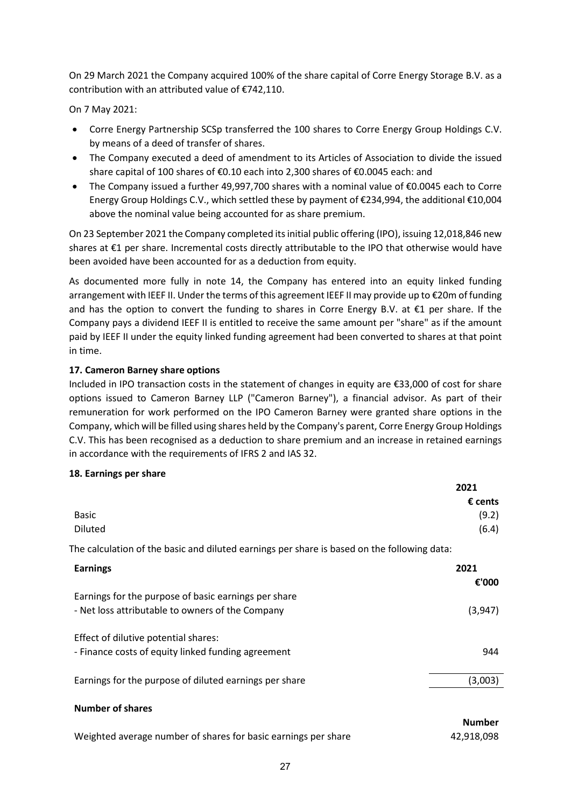On 29 March 2021 the Company acquired 100% of the share capital of Corre Energy Storage B.V. as a contribution with an attributed value of €742,110.

On 7 May 2021:

- Corre Energy Partnership SCSp transferred the 100 shares to Corre Energy Group Holdings C.V. by means of a deed of transfer of shares.
- The Company executed a deed of amendment to its Articles of Association to divide the issued share capital of 100 shares of €0.10 each into 2,300 shares of €0.0045 each: and
- The Company issued a further 49,997,700 shares with a nominal value of €0.0045 each to Corre Energy Group Holdings C.V., which settled these by payment of €234,994, the additional €10,004 above the nominal value being accounted for as share premium.

On 23 September 2021 the Company completed its initial public offering (IPO), issuing 12,018,846 new shares at €1 per share. Incremental costs directly attributable to the IPO that otherwise would have been avoided have been accounted for as a deduction from equity.

As documented more fully in note 14, the Company has entered into an equity linked funding arrangement with IEEF II. Under the terms of this agreement IEEF II may provide up to €20m of funding and has the option to convert the funding to shares in Corre Energy B.V. at €1 per share. If the Company pays a dividend IEEF II is entitled to receive the same amount per "share" as if the amount paid by IEEF II under the equity linked funding agreement had been converted to shares at that point in time.

# **17. Cameron Barney share options**

Included in IPO transaction costs in the statement of changes in equity are €33,000 of cost for share options issued to Cameron Barney LLP ("Cameron Barney"), a financial advisor. As part of their remuneration for work performed on the IPO Cameron Barney were granted share options in the Company, which will be filled using shares held by the Company's parent, Corre Energy Group Holdings C.V. This has been recognised as a deduction to share premium and an increase in retained earnings in accordance with the requirements of IFRS 2 and IAS 32.

#### **18. Earnings per share**

|                                                                                             | 2021             |
|---------------------------------------------------------------------------------------------|------------------|
|                                                                                             | $\epsilon$ cents |
| <b>Basic</b>                                                                                | (9.2)            |
| <b>Diluted</b>                                                                              | (6.4)            |
| The calculation of the basic and diluted earnings per share is based on the following data: |                  |
| <b>Earnings</b>                                                                             | 2021             |
|                                                                                             | €'000            |
| Earnings for the purpose of basic earnings per share                                        |                  |
| - Net loss attributable to owners of the Company                                            | (3, 947)         |
|                                                                                             |                  |
| Effect of dilutive potential shares:                                                        |                  |
| - Finance costs of equity linked funding agreement                                          | 944              |
|                                                                                             |                  |
| Earnings for the purpose of diluted earnings per share                                      | (3,003)          |
| <b>Number of shares</b>                                                                     |                  |
|                                                                                             | <b>Number</b>    |
| Weighted average number of shares for basic earnings per share                              | 42,918,098       |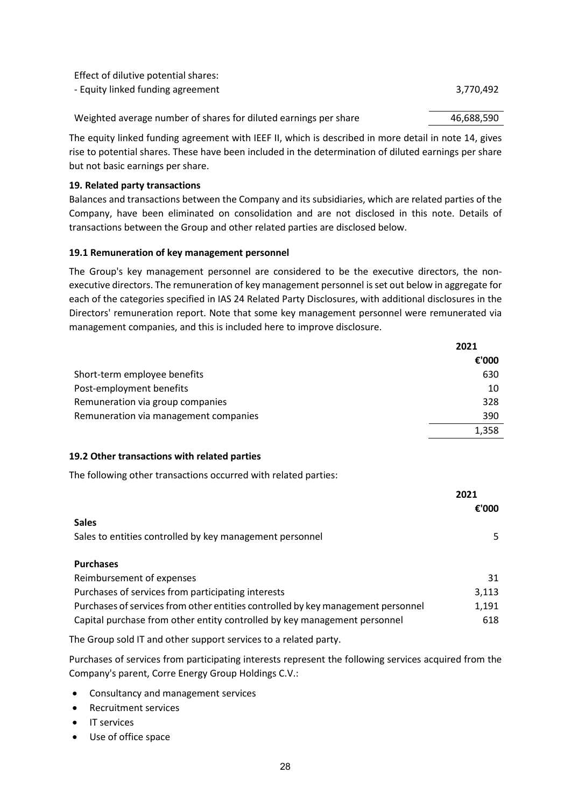| Effect of dilutive potential shares:                             |            |
|------------------------------------------------------------------|------------|
| - Equity linked funding agreement                                | 3.770.492  |
|                                                                  |            |
| Weighted average number of shares for diluted earnings per share | 46,688,590 |
|                                                                  |            |

The equity linked funding agreement with IEEF II, which is described in more detail in note 14, gives rise to potential shares. These have been included in the determination of diluted earnings per share but not basic earnings per share.

#### **19. Related party transactions**

Balances and transactions between the Company and its subsidiaries, which are related parties of the Company, have been eliminated on consolidation and are not disclosed in this note. Details of transactions between the Group and other related parties are disclosed below.

### **19.1 Remuneration of key management personnel**

The Group's key management personnel are considered to be the executive directors, the nonexecutive directors. The remuneration of key management personnel is set out below in aggregate for each of the categories specified in IAS 24 Related Party Disclosures, with additional disclosures in the Directors' remuneration report. Note that some key management personnel were remunerated via management companies, and this is included here to improve disclosure.

|                                       | 2021  |
|---------------------------------------|-------|
|                                       | €'000 |
| Short-term employee benefits          | 630   |
| Post-employment benefits              | 10    |
| Remuneration via group companies      | 328   |
| Remuneration via management companies | 390   |
|                                       | 1.358 |

#### **19.2 Other transactions with related parties**

The following other transactions occurred with related parties:

|                                                                                  | 2021<br>€'000 |
|----------------------------------------------------------------------------------|---------------|
| <b>Sales</b>                                                                     |               |
| Sales to entities controlled by key management personnel                         | 5.            |
| <b>Purchases</b>                                                                 |               |
| Reimbursement of expenses                                                        | 31            |
| Purchases of services from participating interests                               | 3,113         |
| Purchases of services from other entities controlled by key management personnel | 1,191         |
| Capital purchase from other entity controlled by key management personnel        | 618           |

The Group sold IT and other support services to a related party.

Purchases of services from participating interests represent the following services acquired from the Company's parent, Corre Energy Group Holdings C.V.:

- Consultancy and management services
- Recruitment services
- IT services
- Use of office space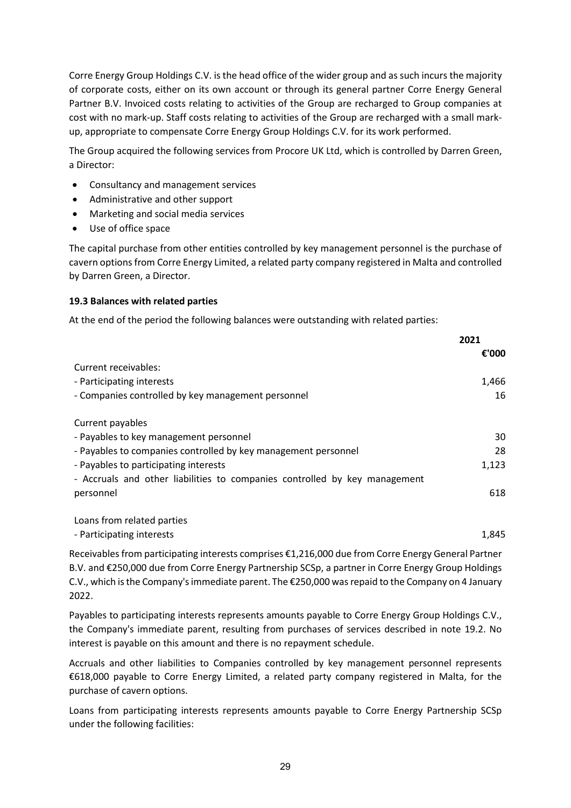Corre Energy Group Holdings C.V. is the head office of the wider group and as such incurs the majority of corporate costs, either on its own account or through its general partner Corre Energy General Partner B.V. Invoiced costs relating to activities of the Group are recharged to Group companies at cost with no mark-up. Staff costs relating to activities of the Group are recharged with a small markup, appropriate to compensate Corre Energy Group Holdings C.V. for its work performed.

The Group acquired the following services from Procore UK Ltd, which is controlled by Darren Green, a Director:

- Consultancy and management services
- Administrative and other support
- Marketing and social media services
- Use of office space

The capital purchase from other entities controlled by key management personnel is the purchase of cavern options from Corre Energy Limited, a related party company registered in Malta and controlled by Darren Green, a Director.

### **19.3 Balances with related parties**

At the end of the period the following balances were outstanding with related parties:

|                                                                            | 2021  |  |
|----------------------------------------------------------------------------|-------|--|
|                                                                            | €'000 |  |
| Current receivables:                                                       |       |  |
| - Participating interests                                                  | 1,466 |  |
| - Companies controlled by key management personnel                         | 16    |  |
| Current payables                                                           |       |  |
| - Payables to key management personnel                                     | 30    |  |
| - Payables to companies controlled by key management personnel             | 28    |  |
| - Payables to participating interests                                      | 1,123 |  |
| - Accruals and other liabilities to companies controlled by key management |       |  |
| personnel                                                                  | 618   |  |
| Loans from related parties                                                 |       |  |
| - Participating interests                                                  | 1.845 |  |

Receivables from participating interests comprises €1,216,000 due from Corre Energy General Partner B.V. and €250,000 due from Corre Energy Partnership SCSp, a partner in Corre Energy Group Holdings C.V., which is the Company's immediate parent. The €250,000 was repaid to the Company on 4 January 2022.

Payables to participating interests represents amounts payable to Corre Energy Group Holdings C.V., the Company's immediate parent, resulting from purchases of services described in note 19.2. No interest is payable on this amount and there is no repayment schedule.

Accruals and other liabilities to Companies controlled by key management personnel represents €618,000 payable to Corre Energy Limited, a related party company registered in Malta, for the purchase of cavern options.

Loans from participating interests represents amounts payable to Corre Energy Partnership SCSp under the following facilities: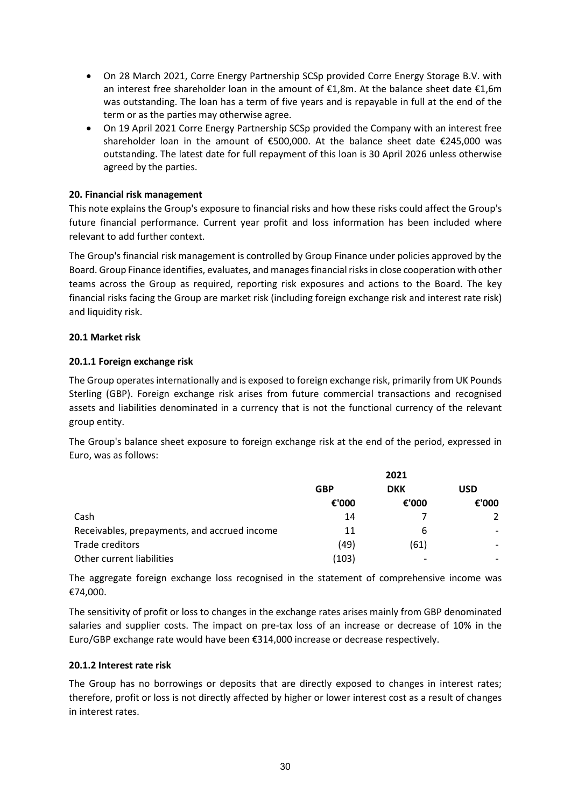- On 28 March 2021, Corre Energy Partnership SCSp provided Corre Energy Storage B.V. with an interest free shareholder loan in the amount of €1,8m. At the balance sheet date €1,6m was outstanding. The loan has a term of five years and is repayable in full at the end of the term or as the parties may otherwise agree.
- On 19 April 2021 Corre Energy Partnership SCSp provided the Company with an interest free shareholder loan in the amount of €500,000. At the balance sheet date €245,000 was outstanding. The latest date for full repayment of this loan is 30 April 2026 unless otherwise agreed by the parties.

### <span id="page-29-0"></span>**20. Financial risk management**

This note explains the Group's exposure to financial risks and how these risks could affect the Group's future financial performance. Current year profit and loss information has been included where relevant to add further context.

The Group's financial risk management is controlled by Group Finance under policies approved by the Board. Group Finance identifies, evaluates, and manages financial risks in close cooperation with other teams across the Group as required, reporting risk exposures and actions to the Board. The key financial risks facing the Group are market risk (including foreign exchange risk and interest rate risk) and liquidity risk.

#### **20.1 Market risk**

### **20.1.1 Foreign exchange risk**

The Group operates internationally and is exposed to foreign exchange risk, primarily from UK Pounds Sterling (GBP). Foreign exchange risk arises from future commercial transactions and recognised assets and liabilities denominated in a currency that is not the functional currency of the relevant group entity.

The Group's balance sheet exposure to foreign exchange risk at the end of the period, expressed in Euro, was as follows:

|                                              | 2021       |            |            |  |
|----------------------------------------------|------------|------------|------------|--|
|                                              | <b>GBP</b> | <b>DKK</b> | <b>USD</b> |  |
|                                              | €'000      | €'000      | €'000      |  |
| Cash                                         | 14         |            |            |  |
| Receivables, prepayments, and accrued income | 11         | ь          |            |  |
| Trade creditors                              | (49)       | (61)       |            |  |
| Other current liabilities                    | (103)      |            |            |  |

The aggregate foreign exchange loss recognised in the statement of comprehensive income was €74,000.

The sensitivity of profit or loss to changes in the exchange rates arises mainly from GBP denominated salaries and supplier costs. The impact on pre-tax loss of an increase or decrease of 10% in the Euro/GBP exchange rate would have been €314,000 increase or decrease respectively.

#### **20.1.2 Interest rate risk**

The Group has no borrowings or deposits that are directly exposed to changes in interest rates; therefore, profit or loss is not directly affected by higher or lower interest cost as a result of changes in interest rates.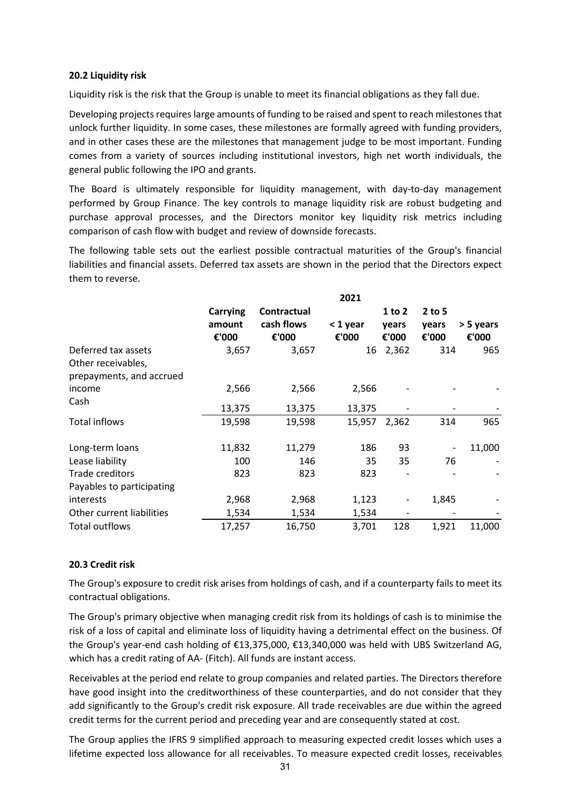#### **20.2 Liquidity risk**

Liquidity risk is the risk that the Group is unable to meet its financial obligations as they fall due.

Developing projects requires large amounts of funding to be raised and spent to reach milestones that unlock further liquidity. In some cases, these milestones are formally agreed with funding providers, and in other cases these are the milestones that management judge to be most important. Funding comes from a variety of sources including institutional investors, high net worth individuals, the general public following the IPO and grants.

The Board is ultimately responsible for liquidity management, with day-to-day management performed by Group Finance. The key controls to manage liquidity risk are robust budgeting and purchase approval processes, and the Directors monitor key liquidity risk metrics including comparison of cash flow with budget and review of downside forecasts.

The following table sets out the earliest possible contractual maturities of the Group's financial liabilities and financial assets. Deferred tax assets are shown in the period that the Directors expect them to reverse.

|                                                                       | 2021                               |                                    |                   |                              |                            |                    |
|-----------------------------------------------------------------------|------------------------------------|------------------------------------|-------------------|------------------------------|----------------------------|--------------------|
|                                                                       | <b>Carrying</b><br>amount<br>€'000 | Contractual<br>cash flows<br>€'000 | < 1 year<br>€'000 | $1$ to $2$<br>years<br>€'000 | $2$ to 5<br>years<br>€'000 | > 5 years<br>€'000 |
| Deferred tax assets<br>Other receivables,<br>prepayments, and accrued | 3,657                              | 3,657                              | 16                | 2,362                        | 314                        | 965                |
| income<br>Cash                                                        | 2,566<br>13,375                    | 2,566<br>13,375                    | 2,566<br>13,375   |                              |                            |                    |
| Total inflows                                                         | 19,598                             | 19,598                             | 15,957            | 2,362                        | 314                        | 965                |
| Long-term loans                                                       | 11,832                             | 11,279                             | 186               | 93                           | $\overline{\phantom{a}}$   | 11,000             |
| Lease liability                                                       | 100                                | 146                                | 35                | 35                           | 76                         |                    |
| Trade creditors<br>Payables to participating                          | 823                                | 823                                | 823               | $\overline{\phantom{a}}$     |                            |                    |
| interests                                                             | 2,968                              | 2,968                              | 1,123             | $\overline{\phantom{a}}$     | 1,845                      |                    |
| Other current liabilities                                             | 1,534                              | 1,534                              | 1,534             | $\overline{\phantom{a}}$     |                            |                    |
| <b>Total outflows</b>                                                 | 17,257                             | 16,750                             | 3,701             | 128                          | 1,921                      | 11,000             |

# **20.3 Credit risk**

The Group's exposure to credit risk arises from holdings of cash, and if a counterparty fails to meet its contractual obligations.

The Group's primary objective when managing credit risk from its holdings of cash is to minimise the risk of a loss of capital and eliminate loss of liquidity having a detrimental effect on the business. Of the Group's year-end cash holding of €13,375,000, €13,340,000 was held with UBS Switzerland AG, which has a credit rating of AA- (Fitch). All funds are instant access.

Receivables at the period end relate to group companies and related parties. The Directors therefore have good insight into the creditworthiness of these counterparties, and do not consider that they add significantly to the Group's credit risk exposure. All trade receivables are due within the agreed credit terms for the current period and preceding year and are consequently stated at cost.

The Group applies the IFRS 9 simplified approach to measuring expected credit losses which uses a lifetime expected loss allowance for all receivables. To measure expected credit losses, receivables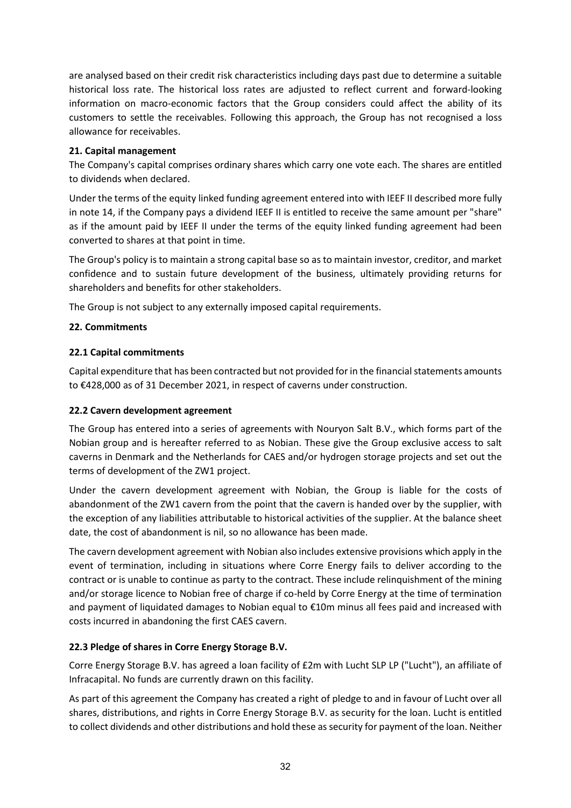are analysed based on their credit risk characteristics including days past due to determine a suitable historical loss rate. The historical loss rates are adjusted to reflect current and forward-looking information on macro-economic factors that the Group considers could affect the ability of its customers to settle the receivables. Following this approach, the Group has not recognised a loss allowance for receivables.

### **21. Capital management**

The Company's capital comprises ordinary shares which carry one vote each. The shares are entitled to dividends when declared.

Under the terms of the equity linked funding agreement entered into with IEEF II described more fully in note 14, if the Company pays a dividend IEEF II is entitled to receive the same amount per "share" as if the amount paid by IEEF II under the terms of the equity linked funding agreement had been converted to shares at that point in time.

The Group's policy is to maintain a strong capital base so as to maintain investor, creditor, and market confidence and to sustain future development of the business, ultimately providing returns for shareholders and benefits for other stakeholders.

The Group is not subject to any externally imposed capital requirements.

### **22. Commitments**

### **22.1 Capital commitments**

Capital expenditure that has been contracted but not provided for in the financial statements amounts to €428,000 as of 31 December 2021, in respect of caverns under construction.

#### **22.2 Cavern development agreement**

The Group has entered into a series of agreements with Nouryon Salt B.V., which forms part of the Nobian group and is hereafter referred to as Nobian. These give the Group exclusive access to salt caverns in Denmark and the Netherlands for CAES and/or hydrogen storage projects and set out the terms of development of the ZW1 project.

Under the cavern development agreement with Nobian, the Group is liable for the costs of abandonment of the ZW1 cavern from the point that the cavern is handed over by the supplier, with the exception of any liabilities attributable to historical activities of the supplier. At the balance sheet date, the cost of abandonment is nil, so no allowance has been made.

The cavern development agreement with Nobian also includes extensive provisions which apply in the event of termination, including in situations where Corre Energy fails to deliver according to the contract or is unable to continue as party to the contract. These include relinquishment of the mining and/or storage licence to Nobian free of charge if co-held by Corre Energy at the time of termination and payment of liquidated damages to Nobian equal to €10m minus all fees paid and increased with costs incurred in abandoning the first CAES cavern.

#### **22.3 Pledge of shares in Corre Energy Storage B.V.**

Corre Energy Storage B.V. has agreed a loan facility of £2m with Lucht SLP LP ("Lucht"), an affiliate of Infracapital. No funds are currently drawn on this facility.

As part of this agreement the Company has created a right of pledge to and in favour of Lucht over all shares, distributions, and rights in Corre Energy Storage B.V. as security for the loan. Lucht is entitled to collect dividends and other distributions and hold these as security for payment of the loan. Neither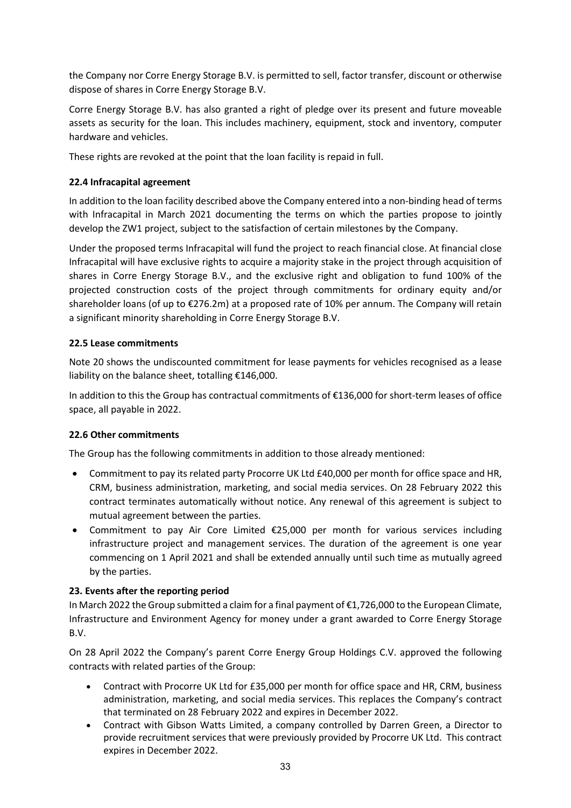the Company nor Corre Energy Storage B.V. is permitted to sell, factor transfer, discount or otherwise dispose of shares in Corre Energy Storage B.V.

Corre Energy Storage B.V. has also granted a right of pledge over its present and future moveable assets as security for the loan. This includes machinery, equipment, stock and inventory, computer hardware and vehicles.

These rights are revoked at the point that the loan facility is repaid in full.

# **22.4 Infracapital agreement**

In addition to the loan facility described above the Company entered into a non-binding head of terms with Infracapital in March 2021 documenting the terms on which the parties propose to jointly develop the ZW1 project, subject to the satisfaction of certain milestones by the Company.

Under the proposed terms Infracapital will fund the project to reach financial close. At financial close Infracapital will have exclusive rights to acquire a majority stake in the project through acquisition of shares in Corre Energy Storage B.V., and the exclusive right and obligation to fund 100% of the projected construction costs of the project through commitments for ordinary equity and/or shareholder loans (of up to €276.2m) at a proposed rate of 10% per annum. The Company will retain a significant minority shareholding in Corre Energy Storage B.V.

# **22.5 Lease commitments**

Note [20](#page-29-0) shows the undiscounted commitment for lease payments for vehicles recognised as a lease liability on the balance sheet, totalling €146,000.

In addition to this the Group has contractual commitments of €136,000 for short-term leases of office space, all payable in 2022.

# **22.6 Other commitments**

The Group has the following commitments in addition to those already mentioned:

- Commitment to pay its related party Procorre UK Ltd £40,000 per month for office space and HR, CRM, business administration, marketing, and social media services. On 28 February 2022 this contract terminates automatically without notice. Any renewal of this agreement is subject to mutual agreement between the parties.
- Commitment to pay Air Core Limited €25,000 per month for various services including infrastructure project and management services. The duration of the agreement is one year commencing on 1 April 2021 and shall be extended annually until such time as mutually agreed by the parties.

# **23. Events after the reporting period**

In March 2022 the Group submitted a claim for a final payment of €1,726,000 to the European Climate, Infrastructure and Environment Agency for money under a grant awarded to Corre Energy Storage B.V.

On 28 April 2022 the Company's parent Corre Energy Group Holdings C.V. approved the following contracts with related parties of the Group:

- Contract with Procorre UK Ltd for £35,000 per month for office space and HR, CRM, business administration, marketing, and social media services. This replaces the Company's contract that terminated on 28 February 2022 and expires in December 2022.
- Contract with Gibson Watts Limited, a company controlled by Darren Green, a Director to provide recruitment services that were previously provided by Procorre UK Ltd. This contract expires in December 2022.